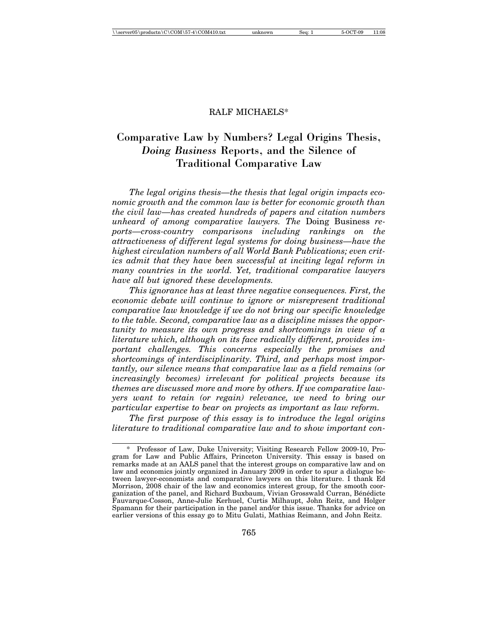# RALF MICHAELS\*

# Comparative Law by Numbers? Legal Origins Thesis, *Doing Business* Reports, and the Silence of Traditional Comparative Law

*The legal origins thesis—the thesis that legal origin impacts economic growth and the common law is better for economic growth than the civil law—has created hundreds of papers and citation numbers unheard of among comparative lawyers. The* Doing Business *reports—cross-country comparisons including rankings on the attractiveness of different legal systems for doing business—have the highest circulation numbers of all World Bank Publications; even critics admit that they have been successful at inciting legal reform in many countries in the world. Yet, traditional comparative lawyers have all but ignored these developments.*

*This ignorance has at least three negative consequences. First, the economic debate will continue to ignore or misrepresent traditional comparative law knowledge if we do not bring our specific knowledge to the table. Second, comparative law as a discipline misses the opportunity to measure its own progress and shortcomings in view of a literature which, although on its face radically different, provides important challenges. This concerns especially the promises and shortcomings of interdisciplinarity. Third, and perhaps most importantly, our silence means that comparative law as a field remains (or increasingly becomes) irrelevant for political projects because its themes are discussed more and more by others. If we comparative lawyers want to retain (or regain) relevance, we need to bring our particular expertise to bear on projects as important as law reform.*

*The first purpose of this essay is to introduce the legal origins literature to traditional comparative law and to show important con-*

<sup>\*</sup> Professor of Law, Duke University; Visiting Research Fellow 2009-10, Program for Law and Public Affairs, Princeton University. This essay is based on remarks made at an AALS panel that the interest groups on comparative law and on law and economics jointly organized in January 2009 in order to spur a dialogue between lawyer-economists and comparative lawyers on this literature. I thank Ed Morrison, 2008 chair of the law and economics interest group, for the smooth coorganization of the panel, and Richard Buxbaum, Vivian Grosswald Curran, Bénédicte Fauvarque-Cosson, Anne-Julie Kerhuel, Curtis Milhaupt, John Reitz, and Holger Spamann for their participation in the panel and/or this issue. Thanks for advice on earlier versions of this essay go to Mitu Gulati, Mathias Reimann, and John Reitz.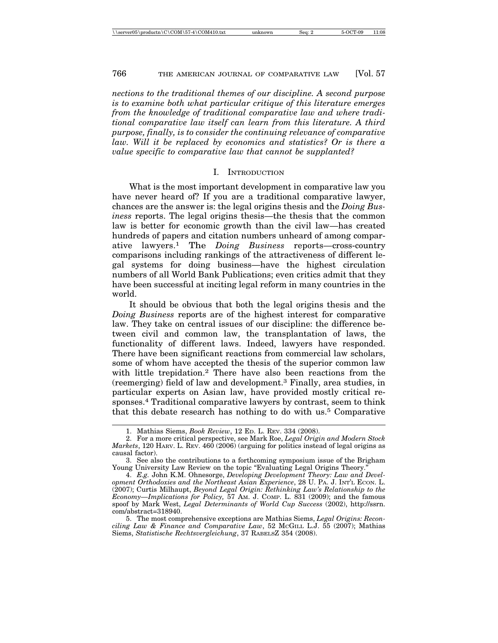*nections to the traditional themes of our discipline. A second purpose is to examine both what particular critique of this literature emerges from the knowledge of traditional comparative law and where traditional comparative law itself can learn from this literature. A third purpose, finally, is to consider the continuing relevance of comparative law. Will it be replaced by economics and statistics? Or is there a value specific to comparative law that cannot be supplanted?*

# I. INTRODUCTION

What is the most important development in comparative law you have never heard of? If you are a traditional comparative lawyer, chances are the answer is: the legal origins thesis and the *Doing Business* reports. The legal origins thesis—the thesis that the common law is better for economic growth than the civil law—has created hundreds of papers and citation numbers unheard of among comparative lawyers.1 The *Doing Business* reports—cross-country comparisons including rankings of the attractiveness of different legal systems for doing business—have the highest circulation numbers of all World Bank Publications; even critics admit that they have been successful at inciting legal reform in many countries in the world.

It should be obvious that both the legal origins thesis and the *Doing Business* reports are of the highest interest for comparative law. They take on central issues of our discipline: the difference between civil and common law, the transplantation of laws, the functionality of different laws. Indeed, lawyers have responded. There have been significant reactions from commercial law scholars, some of whom have accepted the thesis of the superior common law with little trepidation.<sup>2</sup> There have also been reactions from the (reemerging) field of law and development.3 Finally, area studies, in particular experts on Asian law, have provided mostly critical responses.4 Traditional comparative lawyers by contrast, seem to think that this debate research has nothing to do with us.5 Comparative

<sup>1.</sup> Mathias Siems, *Book Review*, 12 ED. L. REV. 334 (2008).

<sup>2.</sup> For a more critical perspective, see Mark Roe, *Legal Origin and Modern Stock Markets*, 120 HARV. L. REV. 460 (2006) (arguing for politics instead of legal origins as causal factor).

<sup>3.</sup> See also the contributions to a forthcoming symposium issue of the Brigham Young University Law Review on the topic "Evaluating Legal Origins Theory."

<sup>4.</sup> *E.g.* John K.M. Ohnesorge, *Developing Development Theory: Law and Development Orthodoxies and the Northeast Asian Experience*, 28 U. PA. J. INT'L ECON. L. (2007); Curtis Milhaupt, *Beyond Legal Origin: Rethinking Law's Relationship to the Economy—Implications for Policy,* 57 AM. J. COMP. L. 831 (2009); and the famous spoof by Mark West, *Legal Determinants of World Cup Success* (2002), http://ssrn. com/abstract=318940.

<sup>5.</sup> The most comprehensive exceptions are Mathias Siems, *Legal Origins: Reconciling Law & Finance and Comparative Law*, 52 MCGILL L.J. 55 (2007); Mathias Siems, *Statistische Rechtsvergleichung*, 37 RABELSZ 354 (2008).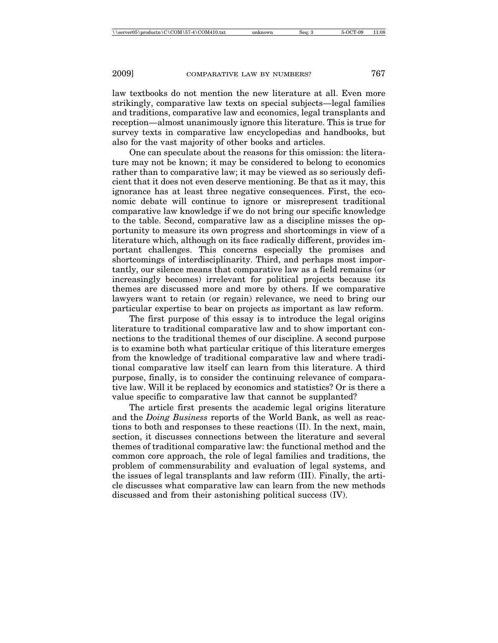law textbooks do not mention the new literature at all. Even more strikingly, comparative law texts on special subjects—legal families and traditions, comparative law and economics, legal transplants and reception—almost unanimously ignore this literature. This is true for survey texts in comparative law encyclopedias and handbooks, but also for the vast majority of other books and articles.

One can speculate about the reasons for this omission: the literature may not be known; it may be considered to belong to economics rather than to comparative law; it may be viewed as so seriously deficient that it does not even deserve mentioning. Be that as it may, this ignorance has at least three negative consequences. First, the economic debate will continue to ignore or misrepresent traditional comparative law knowledge if we do not bring our specific knowledge to the table. Second, comparative law as a discipline misses the opportunity to measure its own progress and shortcomings in view of a literature which, although on its face radically different, provides important challenges. This concerns especially the promises and shortcomings of interdisciplinarity. Third, and perhaps most importantly, our silence means that comparative law as a field remains (or increasingly becomes) irrelevant for political projects because its themes are discussed more and more by others. If we comparative lawyers want to retain (or regain) relevance, we need to bring our particular expertise to bear on projects as important as law reform.

The first purpose of this essay is to introduce the legal origins literature to traditional comparative law and to show important connections to the traditional themes of our discipline. A second purpose is to examine both what particular critique of this literature emerges from the knowledge of traditional comparative law and where traditional comparative law itself can learn from this literature. A third purpose, finally, is to consider the continuing relevance of comparative law. Will it be replaced by economics and statistics? Or is there a value specific to comparative law that cannot be supplanted?

The article first presents the academic legal origins literature and the *Doing Business* reports of the World Bank, as well as reactions to both and responses to these reactions (II). In the next, main, section, it discusses connections between the literature and several themes of traditional comparative law: the functional method and the common core approach, the role of legal families and traditions, the problem of commensurability and evaluation of legal systems, and the issues of legal transplants and law reform (III). Finally, the article discusses what comparative law can learn from the new methods discussed and from their astonishing political success (IV).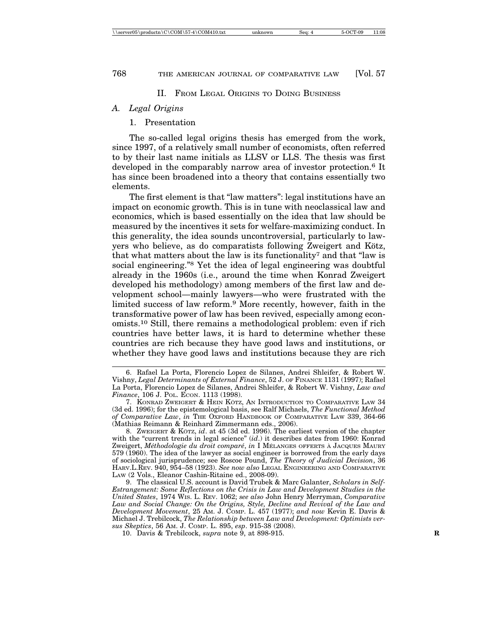## II. FROM LEGAL ORIGINS TO DOING BUSINESS

# *A. Legal Origins*

## 1. Presentation

The so-called legal origins thesis has emerged from the work, since 1997, of a relatively small number of economists, often referred to by their last name initials as LLSV or LLS. The thesis was first developed in the comparably narrow area of investor protection.<sup>6</sup> It has since been broadened into a theory that contains essentially two elements.

The first element is that "law matters": legal institutions have an impact on economic growth. This is in tune with neoclassical law and economics, which is based essentially on the idea that law should be measured by the incentives it sets for welfare-maximizing conduct. In this generality, the idea sounds uncontroversial, particularly to lawyers who believe, as do comparatists following Zweigert and Kötz, that what matters about the law is its functionality7 and that "law is social engineering."8 Yet the idea of legal engineering was doubtful already in the 1960s (i.e., around the time when Konrad Zweigert developed his methodology) among members of the first law and development school—mainly lawyers—who were frustrated with the limited success of law reform.9 More recently, however, faith in the transformative power of law has been revived, especially among economists.10 Still, there remains a methodological problem: even if rich countries have better laws, it is hard to determine whether these countries are rich because they have good laws and institutions, or whether they have good laws and institutions because they are rich

10. Davis & Trebilcock, *supra* note 9, at 898-915. **R**

<sup>6.</sup> Rafael La Porta, Florencio Lopez de Silanes, Andrei Shleifer, & Robert W. Vishny, *Legal Determinants of External Finance*, 52 J. OF FINANCE 1131 (1997); Rafael La Porta, Florencio Lopez de Silanes, Andrei Shleifer, & Robert W. Vishny, *Law and Finance*, 106 J. POL. ECON. 1113 (1998).

<sup>7.</sup> KONRAD ZWEIGERT & HEIN KÖTZ, AN INTRODUCTION TO COMPARATIVE LAW 34 (3d ed. 1996); for the epistemological basis, see Ralf Michaels, *The Functional Method of Comparative Law*, *in* THE OXFORD HANDBOOK OF COMPARATIVE LAW 339, 364-66 (Mathias Reimann & Reinhard Zimmermann eds., 2006).

<sup>8.</sup> ZWEIGERT & KOTZ, *id.* at 45 (3d ed. 1996). The earliest version of the chapter with the "current trends in legal science" (*id*.) it describes dates from 1960: Konrad Zweigert, *Méthodologie du droit comparé*, *in* I MÉLANGES OFFERTS A JACQUES MAURY 579 (1960). The idea of the lawyer as social engineer is borrowed from the early days of sociological jurisprudence; see Roscoe Pound, *The Theory of Judicial Decision*, 36 HARV.L.REV. 940, 954–58 (1923). *See now also* LEGAL ENGINEERING AND COMPARATIVE LAW (2 Vols., Eleanor Cashin-Ritaine ed., 2008-09).

<sup>9.</sup> The classical U.S. account is David Trubek & Marc Galanter, *Scholars in Self-Estrangement: Some Reflections on the Crisis in Law and Development Studies in the United States*, 1974 WIS. L. REV. 1062; *see also* John Henry Merryman, *Comparative Law and Social Change: On the Origins, Style, Decline and Revival of the Law and Development Movement*, 25 AM. J. COMP. L. 457 (1977); *and now* Kevin E. Davis & Michael J. Trebilcock, *The Relationship between Law and Development: Optimists versus Skeptics*, 56 AM. J. COMP. L. 895, *esp*. 915-38 (2008).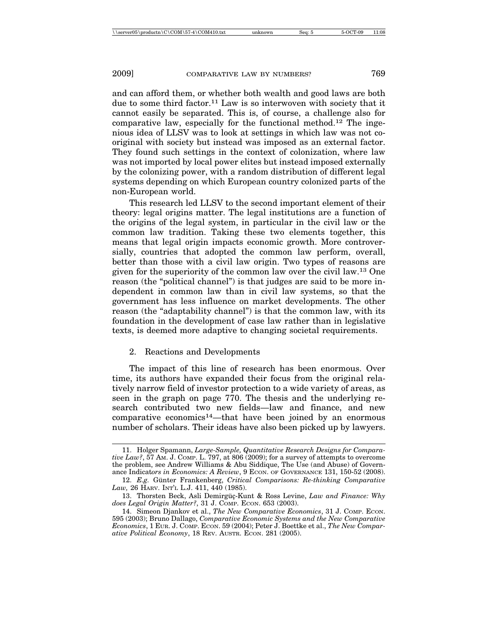and can afford them, or whether both wealth and good laws are both due to some third factor.<sup>11</sup> Law is so interwoven with society that it cannot easily be separated. This is, of course, a challenge also for comparative law, especially for the functional method.12 The ingenious idea of LLSV was to look at settings in which law was not cooriginal with society but instead was imposed as an external factor. They found such settings in the context of colonization, where law was not imported by local power elites but instead imposed externally by the colonizing power, with a random distribution of different legal systems depending on which European country colonized parts of the non-European world.

This research led LLSV to the second important element of their theory: legal origins matter. The legal institutions are a function of the origins of the legal system, in particular in the civil law or the common law tradition. Taking these two elements together, this means that legal origin impacts economic growth. More controversially, countries that adopted the common law perform, overall, better than those with a civil law origin. Two types of reasons are given for the superiority of the common law over the civil law.13 One reason (the "political channel") is that judges are said to be more independent in common law than in civil law systems, so that the government has less influence on market developments. The other reason (the "adaptability channel") is that the common law, with its foundation in the development of case law rather than in legislative texts, is deemed more adaptive to changing societal requirements.

## 2. Reactions and Developments

The impact of this line of research has been enormous. Over time, its authors have expanded their focus from the original relatively narrow field of investor protection to a wide variety of areas, as seen in the graph on page 770. The thesis and the underlying research contributed two new fields—law and finance, and new comparative economics14—that have been joined by an enormous number of scholars. Their ideas have also been picked up by lawyers.

<sup>11.</sup> Holger Spamann, *Large-Sample, Quantitative Research Designs for Comparative Law?*, 57 AM. J. COMP. L. 797, at 806 (2009); for a survey of attempts to overcome the problem, see Andrew Williams & Abu Siddique, The Use (and Abuse) of Governance Indicat*ors in Economics: A Review*, 9 ECON. OF GOVERNANCE 131, 150-52 (2008).

<sup>12.</sup> *E.g.* Günter Frankenberg, *Critical Comparisons: Re-thinking Comparative Law,* 26 HARV. INT'L L.J. 411, 440 (1985).

<sup>13.</sup> Thorsten Beck, Asli Demirgüç-Kunt & Ross Levine, *Law and Finance: Why does Legal Origin Matter?*, 31 J. COMP. ECON. 653 (2003).

<sup>14.</sup> Simeon Djankov et al., *The New Comparative Economics*, 31 J. COMP. ECON. 595 (2003); Bruno Dallago, *Comparative Economic Systems and the New Comparative Economics*, 1 EUR. J. COMP. ECON. 59 (2004); Peter J. Boettke et al., *The New Comparative Political Economy*, 18 REV. AUSTR. ECON. 281 (2005).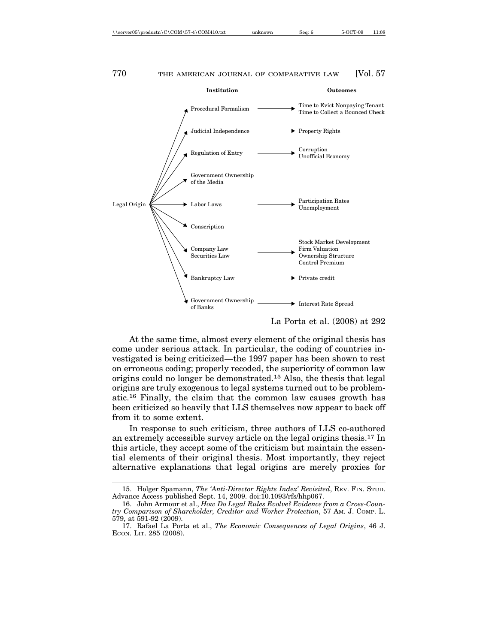

#### La Porta et al. (2008) at 292

At the same time, almost every element of the original thesis has come under serious attack. In particular, the coding of countries investigated is being criticized—the 1997 paper has been shown to rest on erroneous coding; properly recoded, the superiority of common law origins could no longer be demonstrated.15 Also, the thesis that legal origins are truly exogenous to legal systems turned out to be problematic.16 Finally, the claim that the common law causes growth has been criticized so heavily that LLS themselves now appear to back off from it to some extent.

In response to such criticism, three authors of LLS co-authored an extremely accessible survey article on the legal origins thesis.17 In this article, they accept some of the criticism but maintain the essential elements of their original thesis. Most importantly, they reject alternative explanations that legal origins are merely proxies for

<sup>15.</sup> Holger Spamann, *The 'Anti-Director Rights Index' Revisited*, REV. FIN. STUD. Advance Access published Sept. 14, 2009. doi:10.1093/rfs/hhp067.

<sup>16.</sup> John Armour et al., *How Do Legal Rules Evolve? Evidence from a Cross-Country Comparison of Shareholder, Creditor and Worker Protection*, 57 AM. J. COMP. L. 579, at 591-92 (2009).

<sup>17.</sup> Rafael La Porta et al., *The Economic Consequences of Legal Origins*, 46 J. ECON. LIT. 285 (2008).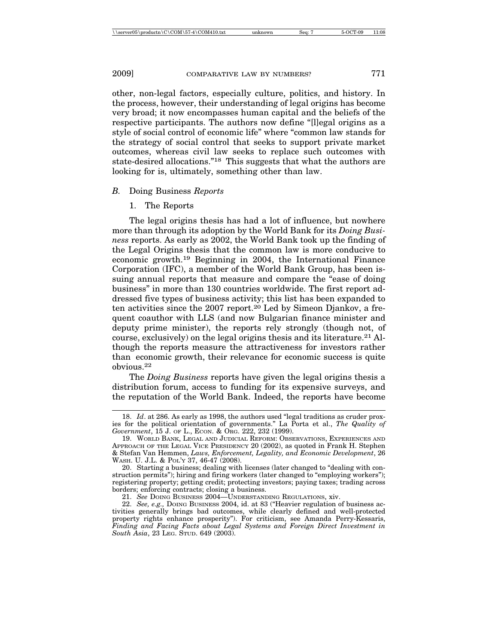other, non-legal factors, especially culture, politics, and history. In the process, however, their understanding of legal origins has become very broad; it now encompasses human capital and the beliefs of the respective participants. The authors now define "[l]egal origins as a style of social control of economic life" where "common law stands for the strategy of social control that seeks to support private market outcomes, whereas civil law seeks to replace such outcomes with state-desired allocations."18 This suggests that what the authors are looking for is, ultimately, something other than law.

#### *B.* Doing Business *Reports*

## 1. The Reports

The legal origins thesis has had a lot of influence, but nowhere more than through its adoption by the World Bank for its *Doing Business* reports. As early as 2002, the World Bank took up the finding of the Legal Origins thesis that the common law is more conducive to economic growth.19 Beginning in 2004, the International Finance Corporation (IFC), a member of the World Bank Group, has been issuing annual reports that measure and compare the "ease of doing business" in more than 130 countries worldwide. The first report addressed five types of business activity; this list has been expanded to ten activities since the 2007 report.20 Led by Simeon Djankov, a frequent coauthor with LLS (and now Bulgarian finance minister and deputy prime minister), the reports rely strongly (though not, of course, exclusively) on the legal origins thesis and its literature.21 Although the reports measure the attractiveness for investors rather than economic growth, their relevance for economic success is quite obvious.22

The *Doing Business* reports have given the legal origins thesis a distribution forum, access to funding for its expensive surveys, and the reputation of the World Bank. Indeed, the reports have become

<sup>18.</sup> *Id*. at 286. As early as 1998, the authors used "legal traditions as cruder proxies for the political orientation of governments." La Porta et al., *The Quality of Government*, 15 J. OF L., ECON. & ORG. 222, 232 (1999).

<sup>19.</sup> WORLD BANK, LEGAL AND JUDICIAL REFORM: OBSERVATIONS, EXPERIENCES AND APPROACH OF THE LEGAL VICE PRESIDENCY 20 (2002), as quoted in Frank H. Stephen & Stefan Van Hemmen, *Laws, Enforcement, Legality, and Economic Development*, 26 WASH. U. J.L. & POL'Y 37, 46-47 (2008).

<sup>20.</sup> Starting a business; dealing with licenses (later changed to "dealing with construction permits"); hiring and firing workers (later changed to "employing workers"); registering property; getting credit; protecting investors; paying taxes; trading across borders; enforcing contracts; closing a business.

<sup>21.</sup> *See* DOING BUSINESS 2004—UNDERSTANDING REGULATIONS, xiv.

<sup>22.</sup> *See, e.g.,* DOING BUSINESS 2004, id. at 83 ("Heavier regulation of business activities generally brings bad outcomes, while clearly defined and well-protected property rights enhance prosperity"). For criticism, see Amanda Perry-Kessaris, *Finding and Facing Facts about Legal Systems and Foreign Direct Investment in South Asia*, 23 LEG. STUD. 649 (2003).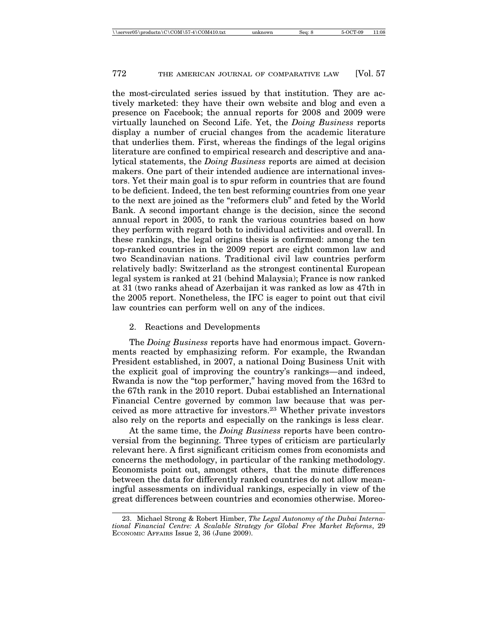the most-circulated series issued by that institution. They are actively marketed: they have their own website and blog and even a presence on Facebook; the annual reports for 2008 and 2009 were virtually launched on Second Life. Yet, the *Doing Business* reports display a number of crucial changes from the academic literature that underlies them. First, whereas the findings of the legal origins literature are confined to empirical research and descriptive and analytical statements, the *Doing Business* reports are aimed at decision makers. One part of their intended audience are international investors. Yet their main goal is to spur reform in countries that are found to be deficient. Indeed, the ten best reforming countries from one year to the next are joined as the "reformers club" and feted by the World Bank. A second important change is the decision, since the second annual report in 2005, to rank the various countries based on how they perform with regard both to individual activities and overall. In these rankings, the legal origins thesis is confirmed: among the ten top-ranked countries in the 2009 report are eight common law and two Scandinavian nations. Traditional civil law countries perform relatively badly: Switzerland as the strongest continental European legal system is ranked at 21 (behind Malaysia); France is now ranked at 31 (two ranks ahead of Azerbaijan it was ranked as low as 47th in the 2005 report. Nonetheless, the IFC is eager to point out that civil law countries can perform well on any of the indices.

### 2. Reactions and Developments

The *Doing Business* reports have had enormous impact. Governments reacted by emphasizing reform. For example, the Rwandan President established, in 2007, a national Doing Business Unit with the explicit goal of improving the country's rankings—and indeed, Rwanda is now the "top performer," having moved from the 163rd to the 67th rank in the 2010 report. Dubai established an International Financial Centre governed by common law because that was perceived as more attractive for investors.23 Whether private investors also rely on the reports and especially on the rankings is less clear.

At the same time, the *Doing Business* reports have been controversial from the beginning. Three types of criticism are particularly relevant here. A first significant criticism comes from economists and concerns the methodology, in particular of the ranking methodology. Economists point out, amongst others, that the minute differences between the data for differently ranked countries do not allow meaningful assessments on individual rankings, especially in view of the great differences between countries and economies otherwise. Moreo-

<sup>23.</sup> Michael Strong & Robert Himber, *The Legal Autonomy of the Dubai International Financial Centre: A Scalable Strategy for Global Free Market Reforms*, 29 ECONOMIC AFFAIRS Issue 2, 36 (June 2009).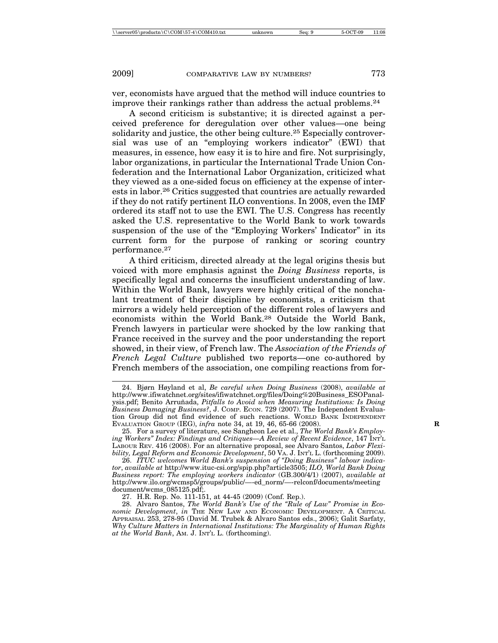ver, economists have argued that the method will induce countries to improve their rankings rather than address the actual problems.24

A second criticism is substantive; it is directed against a perceived preference for deregulation over other values—one being solidarity and justice, the other being culture.<sup>25</sup> Especially controversial was use of an "employing workers indicator" (EWI) that measures, in essence, how easy it is to hire and fire. Not surprisingly, labor organizations, in particular the International Trade Union Confederation and the International Labor Organization, criticized what they viewed as a one-sided focus on efficiency at the expense of interests in labor.26 Critics suggested that countries are actually rewarded if they do not ratify pertinent ILO conventions. In 2008, even the IMF ordered its staff not to use the EWI. The U.S. Congress has recently asked the U.S. representative to the World Bank to work towards suspension of the use of the "Employing Workers' Indicator" in its current form for the purpose of ranking or scoring country performance.27

A third criticism, directed already at the legal origins thesis but voiced with more emphasis against the *Doing Business* reports, is specifically legal and concerns the insufficient understanding of law. Within the World Bank, lawyers were highly critical of the nonchalant treatment of their discipline by economists, a criticism that mirrors a widely held perception of the different roles of lawyers and economists within the World Bank.28 Outside the World Bank, French lawyers in particular were shocked by the low ranking that France received in the survey and the poor understanding the report showed, in their view, of French law. The *Association of the Friends of French Legal Culture* published two reports—one co-authored by French members of the association, one compiling reactions from for-

24. Bjørn Høyland et al, *Be careful when Doing Business* (2008), *available at* http://www.ifiwatchnet.org/sites/ifiwatchnet.org/files/Doing%20Business\_ESOPanalysis.pdf; Benito Arru˜nada, *Pitfalls to Avoid when Measuring Institutions: Is Doing Business Damaging Business?*, J. COMP. ECON. 729 (2007). The Independent Evaluation Group did not find evidence of such reactions. WORLD BANK INDEPENDENT EVALUATION GROUP (IEG), *infra* note 34, at 19, 46, 65-66 (2008). **R**

25. For a survey of literature, see Sangheon Lee et al., *The World Bank's Employing Workers" Index: Findings and Critiques—A Review of Recent Evidence*, 147 INT'L LABOUR REV. 416 (2008). For an alternative proposal, see Alvaro Santos, *Labor Flexibility, Legal Reform and Economic Development*, 50 VA. J. INT'L L. (forthcoming 2009).

26. *ITUC welcomes World Bank's suspension of "Doing Business" labour indicator*, *available at* http://www.ituc-csi.org/spip.php?article3505; *ILO, World Bank Doing Business report: The employing workers indicator* (GB.300/4/1) (2007), *available at* http://www.ilo.org/wcmsp5/groups/public/—-ed\_norm/—-relconf/documents/meeting document/wcms\_085125.pdf;.

27. H.R. Rep. No. 111-151, at 44-45 (2009) (Conf. Rep.).

28. Alvaro Santos, *The World Bank's Use of the "Rule of Law" Promise in Economic Development*, *in* THE NEW LAW AND ECONOMIC DEVELOPMENT. A CRITICAL APPRAISAL 253, 278-95 (David M. Trubek & Alvaro Santos eds., 2006); Galit Sarfaty, *Why Culture Matters in International Institutions: The Marginality of Human Rights at the World Bank*, AM. J. INT'L L. (forthcoming).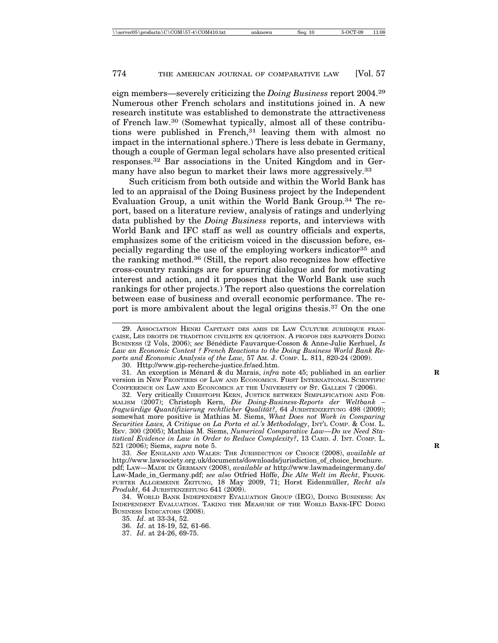eign members—severely criticizing the *Doing Business* report 2004.29 Numerous other French scholars and institutions joined in. A new research institute was established to demonstrate the attractiveness of French law.30 (Somewhat typically, almost all of these contributions were published in French,<sup>31</sup> leaving them with almost no impact in the international sphere.) There is less debate in Germany, though a couple of German legal scholars have also presented critical responses.32 Bar associations in the United Kingdom and in Germany have also begun to market their laws more aggressively.<sup>33</sup>

Such criticism from both outside and within the World Bank has led to an appraisal of the Doing Business project by the Independent Evaluation Group, a unit within the World Bank Group.34 The report, based on a literature review, analysis of ratings and underlying data published by the *Doing Business* reports, and interviews with World Bank and IFC staff as well as country officials and experts, emphasizes some of the criticism voiced in the discussion before, especially regarding the use of the employing workers indicator35 and the ranking method.36 (Still, the report also recognizes how effective cross-country rankings are for spurring dialogue and for motivating interest and action, and it proposes that the World Bank use such rankings for other projects.) The report also questions the correlation between ease of business and overall economic performance. The report is more ambivalent about the legal origins thesis.<sup>37</sup> On the one

29. ASSOCIATION HENRI CAPITANT DES AMIS DE LAW CULTURE JURIDIQUE FRAN-CAISE ¸ , LES DROITS DE TRADITION CIVILISTE EN QUESTION. A PROPOS DES RAPPORTS DOING BUSINESS (2 Vols, 2006); *see* Bénédicte Fauvarque-Cosson & Anne-Julie Kerhuel, *Is Law an Economic Contest ? French Reactions to the Doing Business World Bank Reports and Economic Analysis of the Law,* 57 AM. J. COMP. L. 811, 820-24 (2009).

30. Http://www.gip-recherche-justice.fr/aed.htm.

31. An exception is Ménard & du Marais, *infra* note 45; published in an earlier version in NEW FRONTIERS OF LAW AND ECONOMICS. FIRST INTERNATIONAL SCIENTIFIC CONFERENCE ON LAW AND ECONOMICS AT THE UNIVERSITY OF ST. GALLEN 7 (2006).

32. Very critically CHRISTOPH KERN, JUSTICE BETWEEN SIMPLIFICATION AND FOR-MALISM (2007); Christoph Kern, *Die Doing-Business-Reports der Weltbank – fragwürdige Quantifizierung rechtlicher Qualität?,* 64 JURISTENZEITUNG 498 (2009); somewhat more positive is Mathias M. Siems, *What Does not Work in Comparing Securities Laws, A Critique on La Porta et al.'s Methodology*, INT'L COMP. & COM. L. REV. 300 (2005); Mathias M. Siems, *Numerical Comparative Law—Do we Need Statistical Evidence in Law in Order to Reduce Complexity?*, 13 CARD. J. INT. COMP. L. 521 (2006); Siems, *supra* note 5. **R**

33. *See* ENGLAND AND WALES: THE JURISDICTION OF CHOICE (2008), *available at* http://www.lawsociety.org.uk/documents/downloads/jurisdiction\_of\_choice\_brochure. pdf; LAW—MADE IN GERMANY (2008), *available at* http://www.lawmadeingermany.de/ Law-Made\_in\_Germany.pdf; see also Otfried Höffe, *Die Alte Welt im Recht*, FRANK-FURTER ALLGEMEINE ZEITUNG, 18 May 2009, 71; Horst Eidenm¨uller, *Recht als Produkt*, 64 JURISTENZEITUNG 641 (2009).

34. WORLD BANK INDEPENDENT EVALUATION GROUP (IEG), DOING BUSINESS: AN INDEPENDENT EVALUATION. TAKING THE MEASURE OF THE WORLD BANK-IFC DOING BUSINESS INDICATORS (2008).

35. *Id*. at 33-34, 52.

36. *Id*. at 18-19, 52, 61-66.

37. *Id*. at 24-26, 69-75.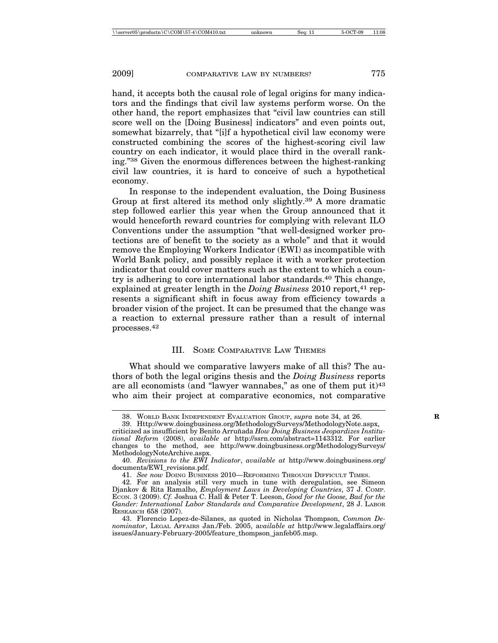hand, it accepts both the causal role of legal origins for many indicators and the findings that civil law systems perform worse. On the other hand, the report emphasizes that "civil law countries can still score well on the [Doing Business] indicators" and even points out, somewhat bizarrely, that "[i]f a hypothetical civil law economy were constructed combining the scores of the highest-scoring civil law country on each indicator, it would place third in the overall ranking."38 Given the enormous differences between the highest-ranking civil law countries, it is hard to conceive of such a hypothetical economy.

In response to the independent evaluation, the Doing Business Group at first altered its method only slightly.39 A more dramatic step followed earlier this year when the Group announced that it would henceforth reward countries for complying with relevant ILO Conventions under the assumption "that well-designed worker protections are of benefit to the society as a whole" and that it would remove the Employing Workers Indicator (EWI) as incompatible with World Bank policy, and possibly replace it with a worker protection indicator that could cover matters such as the extent to which a country is adhering to core international labor standards.40 This change, explained at greater length in the *Doing Business* 2010 report,<sup>41</sup> represents a significant shift in focus away from efficiency towards a broader vision of the project. It can be presumed that the change was a reaction to external pressure rather than a result of internal processes.42

#### III. SOME COMPARATIVE LAW THEMES

What should we comparative lawyers make of all this? The authors of both the legal origins thesis and the *Doing Business* reports are all economists (and "lawyer wannabes," as one of them put it) $43$ who aim their project at comparative economics, not comparative

<sup>38.</sup> WORLD BANK INDEPENDENT EVALUATION GROUP, *supra* note 34, at 26. **R**

<sup>39.</sup> Http://www.doingbusiness.org/MethodologySurveys/MethodologyNote.aspx, criticized as insufficient by Benito Arru˜nada *How Doing Business Jeopardizes Institutional Reform* (2008), *available at* http://ssrn.com/abstract=1143312. For earlier changes to the method, see http://www.doingbusiness.org/MethodologySurveys/ MethodologyNoteArchive.aspx.

<sup>40.</sup> *Revisions to the EWI Indicator*, *available at* http://www.doingbusiness.org/ documents/EWI\_revisions.pdf.

<sup>41.</sup> *See now* DOING BUSINESS 2010—REFORMING THROUGH DIFFICULT TIMES.

<sup>42.</sup> For an analysis still very much in tune with deregulation, see Simeon Djankov & Rita Ramalho, *Employment Laws in Developing Countries*, 37 J. COMP. ECON. 3 (2009). *Cf.* Joshua C. Hall & Peter T. Leeson, *Good for the Goose, Bad for the Gander: International Labor Standards and Comparative Development*, 28 J. LABOR RESEARCH 658 (2007).

<sup>43.</sup> Florencio Lopez-de-Silanes, as quoted in Nicholas Thompson, *Common Denominator*, LEGAL AFFAIRS Jan./Feb. 2005, a*vailable at* http://www.legalaffairs.org/ issues/January-February-2005/feature\_thompson\_janfeb05.msp.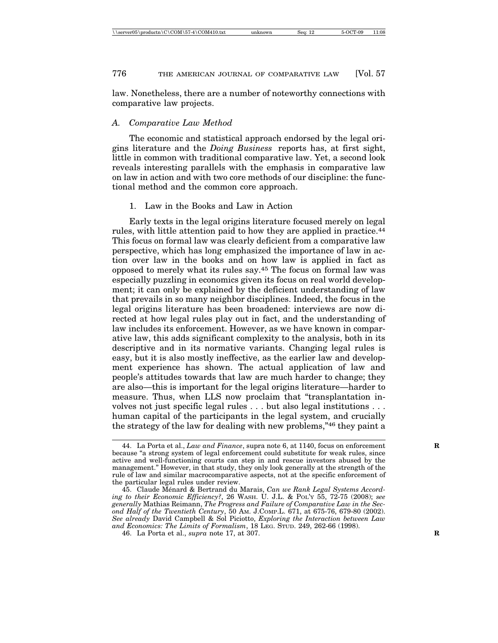law. Nonetheless, there are a number of noteworthy connections with comparative law projects.

#### *A. Comparative Law Method*

The economic and statistical approach endorsed by the legal origins literature and the *Doing Business* reports has, at first sight, little in common with traditional comparative law. Yet, a second look reveals interesting parallels with the emphasis in comparative law on law in action and with two core methods of our discipline: the functional method and the common core approach.

## 1. Law in the Books and Law in Action

Early texts in the legal origins literature focused merely on legal rules, with little attention paid to how they are applied in practice.<sup>44</sup> This focus on formal law was clearly deficient from a comparative law perspective, which has long emphasized the importance of law in action over law in the books and on how law is applied in fact as opposed to merely what its rules say.45 The focus on formal law was especially puzzling in economics given its focus on real world development; it can only be explained by the deficient understanding of law that prevails in so many neighbor disciplines. Indeed, the focus in the legal origins literature has been broadened: interviews are now directed at how legal rules play out in fact, and the understanding of law includes its enforcement. However, as we have known in comparative law, this adds significant complexity to the analysis, both in its descriptive and in its normative variants. Changing legal rules is easy, but it is also mostly ineffective, as the earlier law and development experience has shown. The actual application of law and people's attitudes towards that law are much harder to change; they are also—this is important for the legal origins literature—harder to measure. Thus, when LLS now proclaim that "transplantation involves not just specific legal rules . . . but also legal institutions . . . human capital of the participants in the legal system, and crucially the strategy of the law for dealing with new problems,"46 they paint a

<sup>44.</sup> La Porta et al., *Law and Finance*, supra note 6, at 1140, focus on enforcement **R** because "a strong system of legal enforcement could substitute for weak rules, since active and well-functioning courts can step in and rescue investors abused by the management." However, in that study, they only look generally at the strength of the rule of law and similar macrocomparative aspects, not at the specific enforcement of the particular legal rules under review.

<sup>45.</sup> Claude M´enard & Bertrand du Marais, *Can we Rank Legal Systems According to their Economic Efficiency?*, 26 WASH. U. J.L. & POL'Y 55, 72-75 (2008); *see generally* Mathias Reimann, *The Progress and Failure of Comparative Law in the Second Half of the Twentieth Century*, 50 AM. J.COMP.L. 671, at 675-76, 679-80 (2002). *See already* David Campbell & Sol Piciotto, *Exploring the Interaction between Law and Economics: The Limits of Formalism*, 18 LEG. STUD. 249, 262-66 (1998).

<sup>46.</sup> La Porta et al., *supra* note 17, at 307. **R**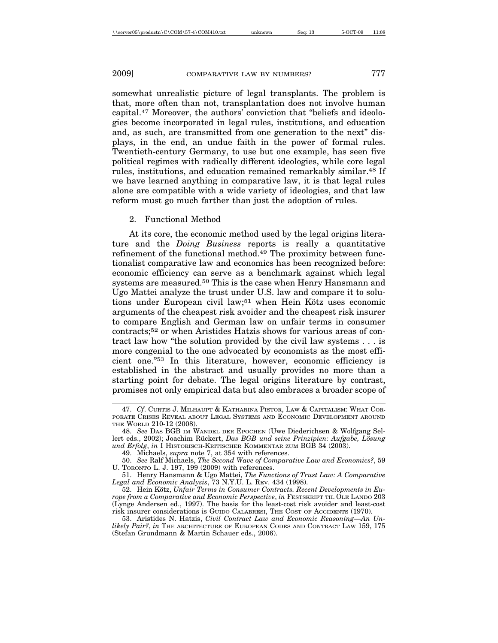somewhat unrealistic picture of legal transplants. The problem is that, more often than not, transplantation does not involve human capital.47 Moreover, the authors' conviction that "beliefs and ideologies become incorporated in legal rules, institutions, and education and, as such, are transmitted from one generation to the next" displays, in the end, an undue faith in the power of formal rules. Twentieth-century Germany, to use but one example, has seen five political regimes with radically different ideologies, while core legal rules, institutions, and education remained remarkably similar.48 If we have learned anything in comparative law, it is that legal rules alone are compatible with a wide variety of ideologies, and that law reform must go much farther than just the adoption of rules.

# 2. Functional Method

At its core, the economic method used by the legal origins literature and the *Doing Business* reports is really a quantitative refinement of the functional method.49 The proximity between functionalist comparative law and economics has been recognized before: economic efficiency can serve as a benchmark against which legal systems are measured.50 This is the case when Henry Hansmann and Ugo Mattei analyze the trust under U.S. law and compare it to solutions under European civil law;<sup>51</sup> when Hein Kötz uses economic arguments of the cheapest risk avoider and the cheapest risk insurer to compare English and German law on unfair terms in consumer contracts;52 or when Aristides Hatzis shows for various areas of contract law how "the solution provided by the civil law systems . . . is more congenial to the one advocated by economists as the most efficient one."53 In this literature, however, economic efficiency is established in the abstract and usually provides no more than a starting point for debate. The legal origins literature by contrast, promises not only empirical data but also embraces a broader scope of

49. Michaels, *supra* note 7, at 354 with references.

50. *See* Ralf Michaels, *The Second Wave of Comparative Law and Economics?*, 59 U. TORONTO L. J. 197, 199 (2009) with references.

<sup>47.</sup> *Cf*. CURTIS J. MILHAUPT & KATHARINA PISTOR, LAW & CAPITALISM: WHAT COR-PORATE CRISES REVEAL ABOUT LEGAL SYSTEMS AND ECONOMIC DEVELOPMENT AROUND THE WORLD 210-12 (2008).

<sup>48.</sup> *See* DAS BGB IM WANDEL DER EPOCHEN (Uwe Diederichsen & Wolfgang Sellert eds., 2002); Joachim Rückert, *Das BGB und seine Prinzipien: Aufgabe, Lösung und Erfolg*, *in* I HISTORISCH-KRITISCHER KOMMENTAR ZUM BGB 34 (2003).

<sup>51.</sup> Henry Hansmann & Ugo Mattei, *The Functions of Trust Law: A Comparative Legal and Economic Analysis*, 73 N.Y.U. L. REV. 434 (1998).

<sup>52.</sup> Hein Kötz, Unfair Terms in Consumer Contracts. Recent Developments in Eu*rope from a Comparative and Economic Perspective, in* FESTSKRIFT TIL OLE LANDO 203 (Lynge Andersen ed., 1997). The basis for the least-cost risk avoider and least-cost risk insurer considerations is GUIDO CALABRESI, THE COST OF ACCIDENTS (1970).

<sup>53.</sup> Aristides N. Hatzis, *Civil Contract Law and Economic Reasoning—An Unlikely Pair?*, *in* THE ARCHITECTURE OF EUROPEAN CODES AND CONTRACT LAW 159, 175 (Stefan Grundmann & Martin Schauer eds., 2006).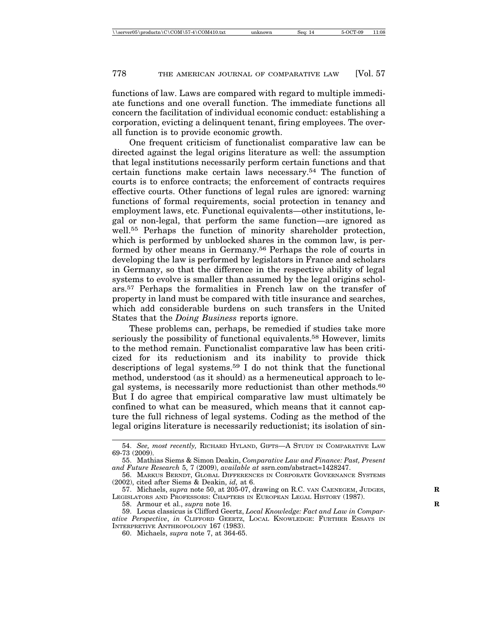functions of law. Laws are compared with regard to multiple immediate functions and one overall function. The immediate functions all concern the facilitation of individual economic conduct: establishing a corporation, evicting a delinquent tenant, firing employees. The overall function is to provide economic growth.

One frequent criticism of functionalist comparative law can be directed against the legal origins literature as well: the assumption that legal institutions necessarily perform certain functions and that certain functions make certain laws necessary.54 The function of courts is to enforce contracts; the enforcement of contracts requires effective courts. Other functions of legal rules are ignored: warning functions of formal requirements, social protection in tenancy and employment laws, etc. Functional equivalents—other institutions, legal or non-legal, that perform the same function—are ignored as well.<sup>55</sup> Perhaps the function of minority shareholder protection, which is performed by unblocked shares in the common law, is performed by other means in Germany.56 Perhaps the role of courts in developing the law is performed by legislators in France and scholars in Germany, so that the difference in the respective ability of legal systems to evolve is smaller than assumed by the legal origins scholars.57 Perhaps the formalities in French law on the transfer of property in land must be compared with title insurance and searches, which add considerable burdens on such transfers in the United States that the *Doing Business* reports ignore.

These problems can, perhaps, be remedied if studies take more seriously the possibility of functional equivalents.<sup>58</sup> However, limits to the method remain. Functionalist comparative law has been criticized for its reductionism and its inability to provide thick descriptions of legal systems.59 I do not think that the functional method, understood (as it should) as a hermeneutical approach to legal systems, is necessarily more reductionist than other methods.60 But I do agree that empirical comparative law must ultimately be confined to what can be measured, which means that it cannot capture the full richness of legal systems. Coding as the method of the legal origins literature is necessarily reductionist; its isolation of sin-

<sup>54.</sup> *See, most recently,* RICHARD HYLAND, GIFTS—A STUDY IN COMPARATIVE LAW 69-73 (2009).

<sup>55.</sup> Mathias Siems & Simon Deakin, *Comparative Law and Finance: Past, Present and Future Research* 5, 7 (2009), *available at* ssrn.com/abstract=1428247.

<sup>56.</sup> MARKUS BERNDT, GLOBAL DIFFERENCES IN CORPORATE GOVERNANCE SYSTEMS (2002), cited after Siems & Deakin, *id,* at 6.

<sup>57.</sup> Michaels, *supra* note 50, at 205-07, drawing on R.C. VAN CAENEGEM, JUDGES, **R** LEGISLATORS AND PROFESSORS: CHAPTERS IN EUROPEAN LEGAL HISTORY (1987).

<sup>58.</sup> Armour et al., *supra* note 16. **R**

<sup>59.</sup> Locus classicus is Clifford Geertz, *Local Knowledge: Fact and Law in Comparative Perspective*, *in* CLIFFORD GEERTZ, LOCAL KNOWLEDGE: FURTHER ESSAYS IN INTERPRETIVE ANTHROPOLOGY 167 (1983).

<sup>60.</sup> Michaels, *supra* note 7, at 364-65.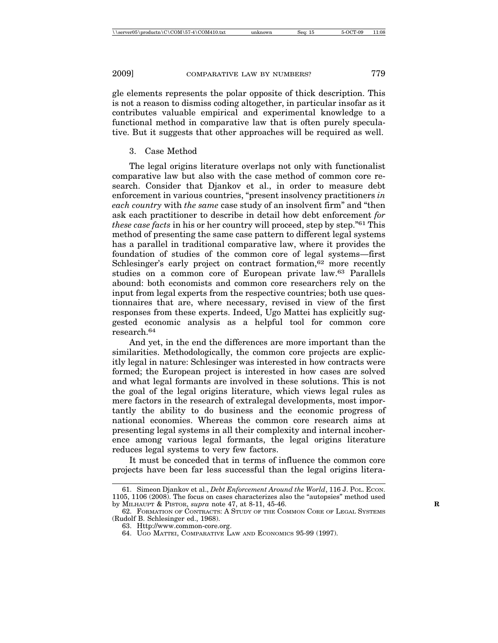gle elements represents the polar opposite of thick description. This is not a reason to dismiss coding altogether, in particular insofar as it contributes valuable empirical and experimental knowledge to a functional method in comparative law that is often purely speculative. But it suggests that other approaches will be required as well.

## 3. Case Method

The legal origins literature overlaps not only with functionalist comparative law but also with the case method of common core research. Consider that Djankov et al., in order to measure debt enforcement in various countries, "present insolvency practitioners *in each country* with *the same* case study of an insolvent firm" and "then ask each practitioner to describe in detail how debt enforcement *for these case facts* in his or her country will proceed, step by step."<sup>61</sup> This method of presenting the same case pattern to different legal systems has a parallel in traditional comparative law, where it provides the foundation of studies of the common core of legal systems—first Schlesinger's early project on contract formation,<sup>62</sup> more recently studies on a common core of European private law.<sup>63</sup> Parallels abound: both economists and common core researchers rely on the input from legal experts from the respective countries; both use questionnaires that are, where necessary, revised in view of the first responses from these experts. Indeed, Ugo Mattei has explicitly suggested economic analysis as a helpful tool for common core research.64

And yet, in the end the differences are more important than the similarities. Methodologically, the common core projects are explicitly legal in nature: Schlesinger was interested in how contracts were formed; the European project is interested in how cases are solved and what legal formants are involved in these solutions. This is not the goal of the legal origins literature, which views legal rules as mere factors in the research of extralegal developments, most importantly the ability to do business and the economic progress of national economies. Whereas the common core research aims at presenting legal systems in all their complexity and internal incoherence among various legal formants, the legal origins literature reduces legal systems to very few factors.

It must be conceded that in terms of influence the common core projects have been far less successful than the legal origins litera-

<sup>61.</sup> Simeon Djankov et al., *Debt Enforcement Around the World*, 116 J. POL. ECON. 1105, 1106 (2008). The focus on cases characterizes also the "autopsies" method used by MILHAUPT & PISTOR, *supra* note 47, at 8-11, 45-46. **R**

<sup>62.</sup> FORMATION OF CONTRACTS: A STUDY OF THE COMMON CORE OF LEGAL SYSTEMS (Rudolf B. Schlesinger ed., 1968).

<sup>63.</sup> Http://www.common-core.org.

<sup>64.</sup> UGO MATTEI, COMPARATIVE LAW AND ECONOMICS 95-99 (1997).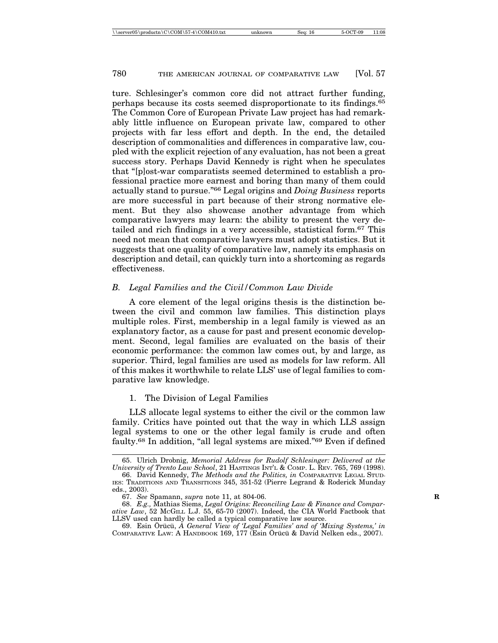ture. Schlesinger's common core did not attract further funding, perhaps because its costs seemed disproportionate to its findings.<sup>65</sup> The Common Core of European Private Law project has had remarkably little influence on European private law, compared to other projects with far less effort and depth. In the end, the detailed description of commonalities and differences in comparative law, coupled with the explicit rejection of any evaluation, has not been a great success story. Perhaps David Kennedy is right when he speculates that "[p]ost-war comparatists seemed determined to establish a professional practice more earnest and boring than many of them could actually stand to pursue."66 Legal origins and *Doing Business* reports are more successful in part because of their strong normative element. But they also showcase another advantage from which comparative lawyers may learn: the ability to present the very detailed and rich findings in a very accessible, statistical form.67 This need not mean that comparative lawyers must adopt statistics. But it suggests that one quality of comparative law, namely its emphasis on description and detail, can quickly turn into a shortcoming as regards effectiveness.

# *B. Legal Families and the Civil/Common Law Divide*

A core element of the legal origins thesis is the distinction between the civil and common law families. This distinction plays multiple roles. First, membership in a legal family is viewed as an explanatory factor, as a cause for past and present economic development. Second, legal families are evaluated on the basis of their economic performance: the common law comes out, by and large, as superior. Third, legal families are used as models for law reform. All of this makes it worthwhile to relate LLS' use of legal families to comparative law knowledge.

#### 1. The Division of Legal Families

LLS allocate legal systems to either the civil or the common law family. Critics have pointed out that the way in which LLS assign legal systems to one or the other legal family is crude and often faulty.68 In addition, "all legal systems are mixed."69 Even if defined

66. David Kennedy, *The Methods and the Politics, in* COMPARATIVE LEGAL STUD-IES: TRADITIONS AND TRANSITIONS 345, 351-52 (Pierre Legrand & Roderick Munday eds., 2003).

69. Esin Örücü, A General View of 'Legal Families' and of 'Mixing Systems,' in COMPARATIVE LAW: A HANDBOOK 169, 177 (Esin Örücü & David Nelken eds., 2007).

<sup>65.</sup> Ulrich Drobnig, *Memorial Address for Rudolf Schlesinger: Delivered at the University of Trento Law School*, 21 HASTINGS INT'L & COMP. L. REV. 765, 769 (1998).

<sup>67.</sup> *See* Spamann, *supra* note 11, at 804-06. **R**

<sup>68.</sup> *E.g.,* Mathias Siems, *Legal Origins: Reconciling Law & Finance and Comparative Law*, 52 MCGILL L.J. 55, 65-70 (2007). Indeed, the CIA World Factbook that LLSV used can hardly be called a typical comparative law source.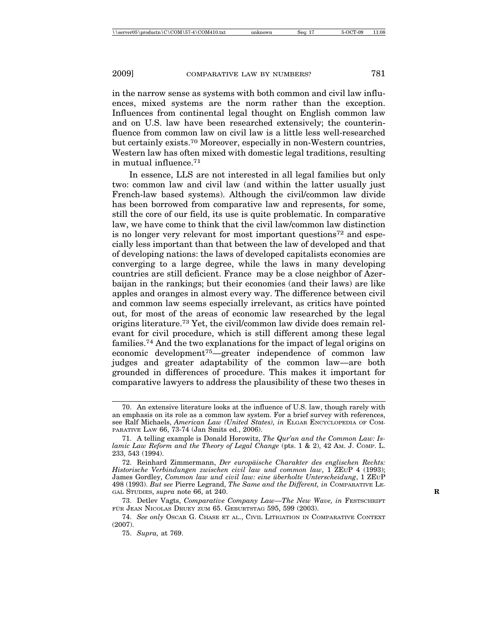in the narrow sense as systems with both common and civil law influences, mixed systems are the norm rather than the exception. Influences from continental legal thought on English common law and on U.S. law have been researched extensively; the counterinfluence from common law on civil law is a little less well-researched but certainly exists.70 Moreover, especially in non-Western countries, Western law has often mixed with domestic legal traditions, resulting in mutual influence.71

In essence, LLS are not interested in all legal families but only two: common law and civil law (and within the latter usually just French-law based systems). Although the civil/common law divide has been borrowed from comparative law and represents, for some, still the core of our field, its use is quite problematic. In comparative law, we have come to think that the civil law/common law distinction is no longer very relevant for most important questions<sup>72</sup> and especially less important than that between the law of developed and that of developing nations: the laws of developed capitalists economies are converging to a large degree, while the laws in many developing countries are still deficient. France may be a close neighbor of Azerbaijan in the rankings; but their economies (and their laws) are like apples and oranges in almost every way. The difference between civil and common law seems especially irrelevant, as critics have pointed out, for most of the areas of economic law researched by the legal origins literature.73 Yet, the civil/common law divide does remain relevant for civil procedure, which is still different among these legal families.74 And the two explanations for the impact of legal origins on economic development<sup>75</sup>—greater independence of common law judges and greater adaptability of the common law—are both grounded in differences of procedure. This makes it important for comparative lawyers to address the plausibility of these two theses in

<sup>70.</sup> An extensive literature looks at the influence of U.S. law, though rarely with an emphasis on its role as a common law system. For a brief survey with references, see Ralf Michaels, *American Law (United States), in* ELGAR ENCYCLOPEDIA OF COM-PARATIVE LAW 66, 73-74 (Jan Smits ed., 2006).

<sup>71.</sup> A telling example is Donald Horowitz, *The Qur'an and the Common Law: Islamic Law Reform and the Theory of Legal Change* (pts. 1 & 2), 42 AM. J. COMP. L. 233, 543 (1994).

<sup>72.</sup> Reinhard Zimmermann, *Der europäische Charakter des englischen Rechts: Historische Verbindungen zwischen civil law und common law*, 1 ZEUP 4 (1993); James Gordley, *Common law und civil law: eine ¨uberholte Unterscheidung*, 1 ZEUP 498 (1993). *But see* Pierre Legrand, *The Same and the Different, in* COMPARATIVE LE-GAL STUDIES, *supra* note 66, at 240. **R**

<sup>73.</sup> Detlev Vagts, *Comparative Company Law—The New Wave, in* FESTSCHRIFT FUR JEAN NICOLAS DRUEY ZUM 65. GEBURTSTAG 595, 599 (2003).

<sup>74.</sup> *See only* OSCAR G. CHASE ET AL., CIVIL LITIGATION IN COMPARATIVE CONTEXT (2007).

<sup>75.</sup> *Supra,* at 769.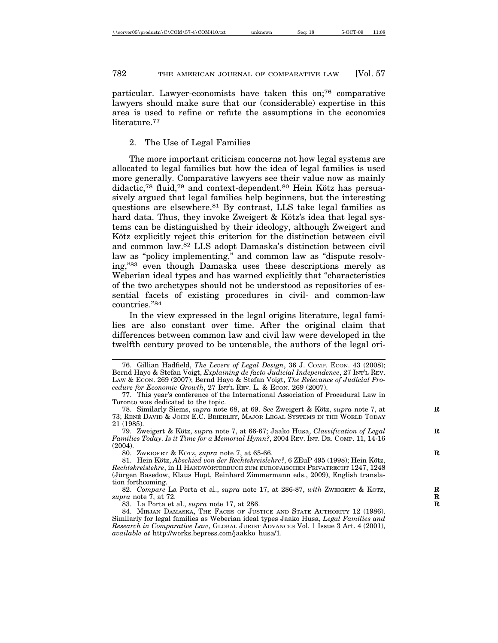particular. Lawyer-economists have taken this on;76 comparative lawyers should make sure that our (considerable) expertise in this area is used to refine or refute the assumptions in the economics literature.<sup>77</sup>

## 2. The Use of Legal Families

The more important criticism concerns not how legal systems are allocated to legal families but how the idea of legal families is used more generally. Comparative lawyers see their value now as mainly didactic,<sup>78</sup> fluid,<sup>79</sup> and context-dependent.<sup>80</sup> Hein Kötz has persuasively argued that legal families help beginners, but the interesting questions are elsewhere.<sup>81</sup> By contrast, LLS take legal families as hard data. Thus, they invoke Zweigert & Kötz's idea that legal systems can be distinguished by their ideology, although Zweigert and Kötz explicitly reject this criterion for the distinction between civil and common law.82 LLS adopt Damaska's distinction between civil law as "policy implementing," and common law as "dispute resolving,"83 even though Damaska uses these descriptions merely as Weberian ideal types and has warned explicitly that "characteristics of the two archetypes should not be understood as repositories of essential facets of existing procedures in civil- and common-law countries."84

In the view expressed in the legal origins literature, legal families are also constant over time. After the original claim that differences between common law and civil law were developed in the twelfth century proved to be untenable, the authors of the legal ori-

78. Similarly Siems, *supra* note 68, at 69. See Zweigert & Kötz, *supra* note 7, at 73; RENE DAVID & JOHN E.C. BRIERLEY, MAJOR LEGAL SYSTEMS IN THE WORLD TODAY 21 (1985).

79. Zweigert & Kötz, *supra* note 7, at 66-67; Jaako Husa, *Classification of Legal Families Today. Is it Time for a Memorial Hymn?*, 2004 REV. INT. DR. COMP. 11, 14-16 (2004).

80. ZWEIGERT & KOTZ, *supra* note 7, at 65-66.

81. Hein Kötz, *Abschied von der Rechtskreislehre?*, 6 ZEuP 495 (1998); Hein Kötz, *Rechtskreislehre*, in II HANDWORTERBUCH ZUM EUROPÄISCHEN PRIVATRECHT 1247, 1248 (Jürgen Basedow, Klaus Hopt, Reinhard Zimmermann eds., 2009), English translation forthcoming.

82. *Compare* La Porta et al., *supra* note 17, at 286-87, *with* ZWEIGERT & KOTZ, *supra* note 7, at 72. **R**

83. La Porta et al., *supra* note 17, at 286. **R**

84. MIRJAN DAMASKA, THE FACES OF JUSTICE AND STATE AUTHORITY 12 (1986). Similarly for legal families as Weberian ideal types Jaako Husa, *Legal Families and Research in Comparative Law*, GLOBAL JURIST ADVANCES Vol. 1 Issue 3 Art. 4 (2001), *available at* http://works.bepress.com/jaakko\_husa/1.

<sup>76.</sup> Gillian Hadfield, *The Levers of Legal Design*, 36 J. COMP. ECON. 43 (2008); Bernd Hayo & Stefan Voigt, *Explaining de facto Judicial Independence*, 27 INT'L REV. LAW & ECON. 269 (2007); Bernd Hayo & Stefan Voigt, *The Relevance of Judicial Procedure for Economic Growth*, 27 INT'L REV. L. & ECON. 269 (2007).

<sup>77.</sup> This year's conference of the International Association of Procedural Law in Toronto was dedicated to the topic.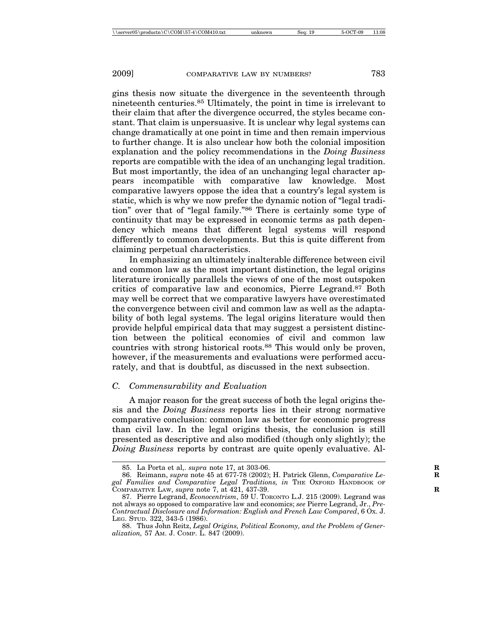gins thesis now situate the divergence in the seventeenth through nineteenth centuries.85 Ultimately, the point in time is irrelevant to their claim that after the divergence occurred, the styles became constant. That claim is unpersuasive. It is unclear why legal systems can change dramatically at one point in time and then remain impervious to further change. It is also unclear how both the colonial imposition explanation and the policy recommendations in the *Doing Business* reports are compatible with the idea of an unchanging legal tradition. But most importantly, the idea of an unchanging legal character appears incompatible with comparative law knowledge. Most comparative lawyers oppose the idea that a country's legal system is static, which is why we now prefer the dynamic notion of "legal tradition" over that of "legal family."86 There is certainly some type of continuity that may be expressed in economic terms as path dependency which means that different legal systems will respond differently to common developments. But this is quite different from claiming perpetual characteristics.

In emphasizing an ultimately inalterable difference between civil and common law as the most important distinction, the legal origins literature ironically parallels the views of one of the most outspoken critics of comparative law and economics, Pierre Legrand.87 Both may well be correct that we comparative lawyers have overestimated the convergence between civil and common law as well as the adaptability of both legal systems. The legal origins literature would then provide helpful empirical data that may suggest a persistent distinction between the political economies of civil and common law countries with strong historical roots.88 This would only be proven, however, if the measurements and evaluations were performed accurately, and that is doubtful, as discussed in the next subsection.

# *C. Commensurability and Evaluation*

A major reason for the great success of both the legal origins thesis and the *Doing Business* reports lies in their strong normative comparative conclusion: common law as better for economic progress than civil law. In the legal origins thesis, the conclusion is still presented as descriptive and also modified (though only slightly); the *Doing Business* reports by contrast are quite openly evaluative. Al-

<sup>85.</sup> La Porta et al,. *supra* note 17, at 303-06. **R**

<sup>86.</sup> Reimann, *supra* note 45 at 677-78 (2002); H. Patrick Glenn, *Comparative Le-* **R** *gal Families and Comparative Legal Traditions, in* THE OXFORD HANDBOOK OF COMPARATIVE LAW, *supra* note 7, at 421, 437-39. **R**

<sup>87.</sup> Pierre Legrand, *Econocentrism*, 59 U. TORONTO L.J. 215 (2009). Legrand was not always so opposed to comparative law and economics; *see* Pierre Legrand, Jr., *Pre-Contractual Disclosure and Information: English and French Law Compared*, 6 OX. J. LEG. STUD. 322, 343-5 (1986).

<sup>88.</sup> Thus John Reitz, *Legal Origins, Political Economy, and the Problem of Generalization,* 57 AM. J. COMP. L. 847 (2009).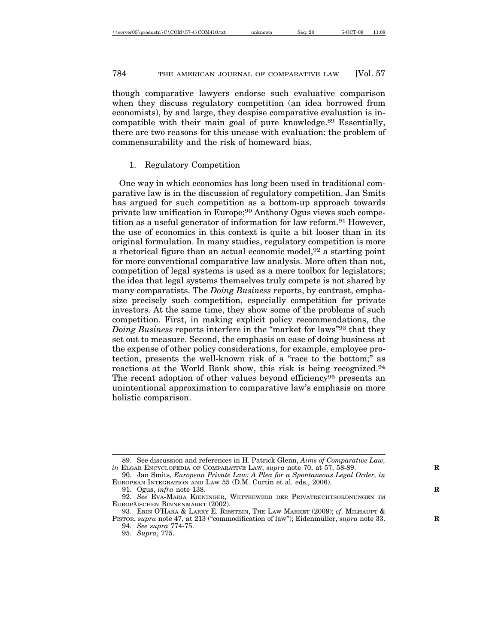though comparative lawyers endorse such evaluative comparison when they discuss regulatory competition (an idea borrowed from economists), by and large, they despise comparative evaluation is incompatible with their main goal of pure knowledge.89 Essentially, there are two reasons for this unease with evaluation: the problem of commensurability and the risk of homeward bias.

#### 1. Regulatory Competition

 One way in which economics has long been used in traditional comparative law is in the discussion of regulatory competition. Jan Smits has argued for such competition as a bottom-up approach towards private law unification in Europe;<sup>90</sup> Anthony Ogus views such competition as a useful generator of information for law reform.<sup>91</sup> However, the use of economics in this context is quite a bit looser than in its original formulation. In many studies, regulatory competition is more a rhetorical figure than an actual economic model.<sup>92</sup> a starting point for more conventional comparative law analysis. More often than not, competition of legal systems is used as a mere toolbox for legislators; the idea that legal systems themselves truly compete is not shared by many comparatists. The *Doing Business* reports, by contrast, emphasize precisely such competition, especially competition for private investors. At the same time, they show some of the problems of such competition. First, in making explicit policy recommendations, the *Doing Business* reports interfere in the "market for laws"93 that they set out to measure. Second, the emphasis on ease of doing business at the expense of other policy considerations, for example, employee protection, presents the well-known risk of a "race to the bottom;" as reactions at the World Bank show, this risk is being recognized.<sup>94</sup> The recent adoption of other values beyond efficiency<sup>95</sup> presents an unintentional approximation to comparative law's emphasis on more holistic comparison.

94. *See supra* 774-75.

95. *Supra*, 775.

<sup>89.</sup> See discussion and references in H. Patrick Glenn, *Aims of Comparative Law, in* ELGAR ENCYCLOPEDIA OF COMPARATIVE LAW, *supra* note 70, at 57, 58-89. **R**

<sup>90.</sup> Jan Smits, *European Private Law: A Plea for a Spontaneous Legal Order, in* EUROPEAN INTEGRATION AND LAW 55 (D.M. Curtin et al. eds., 2006).

<sup>91.</sup> Ogus, *infra* note 138. **R**

<sup>92.</sup> *See* EVA-MARIA KIENINGER, WETTBEWERB DER PRIVATRECHTSORDNUNGEN IM EUROPÄISCHEN BINNENMARKT (2002).

<sup>93.</sup> ERIN O'HARA & LARRY E. RIBSTEIN, THE LAW MARKET (2009); *cf*. MILHAUPT & PISTOR, *supra* note 47, at 213 ("commodification of law"); Eidenmüller, *supra* note 33.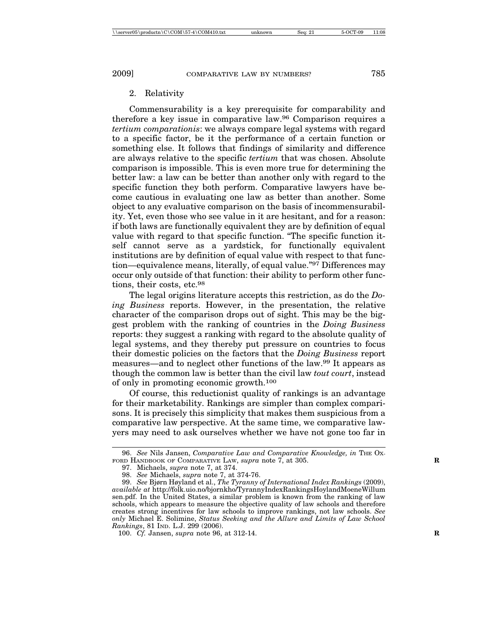## 2. Relativity

Commensurability is a key prerequisite for comparability and therefore a key issue in comparative law.96 Comparison requires a *tertium comparationis*: we always compare legal systems with regard to a specific factor, be it the performance of a certain function or something else. It follows that findings of similarity and difference are always relative to the specific *tertium* that was chosen. Absolute comparison is impossible. This is even more true for determining the better law: a law can be better than another only with regard to the specific function they both perform. Comparative lawyers have become cautious in evaluating one law as better than another. Some object to any evaluative comparison on the basis of incommensurability. Yet, even those who see value in it are hesitant, and for a reason: if both laws are functionally equivalent they are by definition of equal value with regard to that specific function. "The specific function itself cannot serve as a yardstick, for functionally equivalent institutions are by definition of equal value with respect to that function—equivalence means, literally, of equal value."97 Differences may occur only outside of that function: their ability to perform other functions, their costs, etc.98

The legal origins literature accepts this restriction, as do the *Doing Business* reports. However, in the presentation, the relative character of the comparison drops out of sight. This may be the biggest problem with the ranking of countries in the *Doing Business* reports: they suggest a ranking with regard to the absolute quality of legal systems, and they thereby put pressure on countries to focus their domestic policies on the factors that the *Doing Business* report measures—and to neglect other functions of the law.99 It appears as though the common law is better than the civil law *tout court*, instead of only in promoting economic growth.100

Of course, this reductionist quality of rankings is an advantage for their marketability. Rankings are simpler than complex comparisons. It is precisely this simplicity that makes them suspicious from a comparative law perspective. At the same time, we comparative lawyers may need to ask ourselves whether we have not gone too far in

100. *Cf.* Jansen, *supra* note 96, at 312-14. **R**

<sup>96.</sup> *See* Nils Jansen, *Comparative Law and Comparative Knowledge, in* THE OX-FORD HANDBOOK OF COMPARATIVE LAW, *supra* note 7, at 305.

<sup>97.</sup> Michaels, *supra* note 7, at 374.

<sup>98.</sup> *See* Michaels, *supra* note 7, at 374-76.

<sup>99.</sup> *See* Bjørn Høyland et al., *The Tyranny of International Index Rankings* (2009), *available at* http://folk.uio.no/bjornkho/TyrannyIndexRankingsHoylandMoeneWillum sen.pdf. In the United States, a similar problem is known from the ranking of law schools, which appears to measure the objective quality of law schools and therefore creates strong incentives for law schools to improve rankings, not law schools. *See only* Michael E. Solimine, *Status Seeking and the Allure and Limits of Law School Rankings*, 81 IND. L.J. 299 (2006).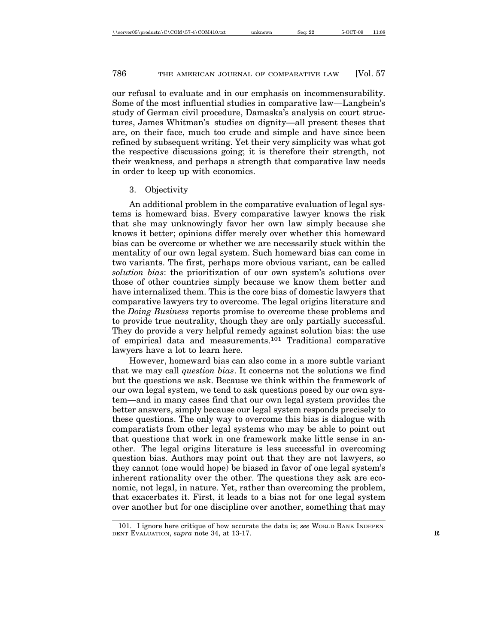our refusal to evaluate and in our emphasis on incommensurability. Some of the most influential studies in comparative law—Langbein's study of German civil procedure, Damaska's analysis on court structures, James Whitman's studies on dignity—all present theses that are, on their face, much too crude and simple and have since been refined by subsequent writing. Yet their very simplicity was what got the respective discussions going; it is therefore their strength, not their weakness, and perhaps a strength that comparative law needs in order to keep up with economics.

## 3. Objectivity

An additional problem in the comparative evaluation of legal systems is homeward bias. Every comparative lawyer knows the risk that she may unknowingly favor her own law simply because she knows it better; opinions differ merely over whether this homeward bias can be overcome or whether we are necessarily stuck within the mentality of our own legal system. Such homeward bias can come in two variants. The first, perhaps more obvious variant, can be called *solution bias*: the prioritization of our own system's solutions over those of other countries simply because we know them better and have internalized them. This is the core bias of domestic lawyers that comparative lawyers try to overcome. The legal origins literature and the *Doing Business* reports promise to overcome these problems and to provide true neutrality, though they are only partially successful. They do provide a very helpful remedy against solution bias: the use of empirical data and measurements.101 Traditional comparative lawyers have a lot to learn here.

However, homeward bias can also come in a more subtle variant that we may call *question bias*. It concerns not the solutions we find but the questions we ask. Because we think within the framework of our own legal system, we tend to ask questions posed by our own system—and in many cases find that our own legal system provides the better answers, simply because our legal system responds precisely to these questions. The only way to overcome this bias is dialogue with comparatists from other legal systems who may be able to point out that questions that work in one framework make little sense in another. The legal origins literature is less successful in overcoming question bias. Authors may point out that they are not lawyers, so they cannot (one would hope) be biased in favor of one legal system's inherent rationality over the other. The questions they ask are economic, not legal, in nature. Yet, rather than overcoming the problem, that exacerbates it. First, it leads to a bias not for one legal system over another but for one discipline over another, something that may

<sup>101.</sup> I ignore here critique of how accurate the data is; *see* WORLD BANK INDEPEN-DENT EVALUATION, *supra* note 34, at 13-17. **R**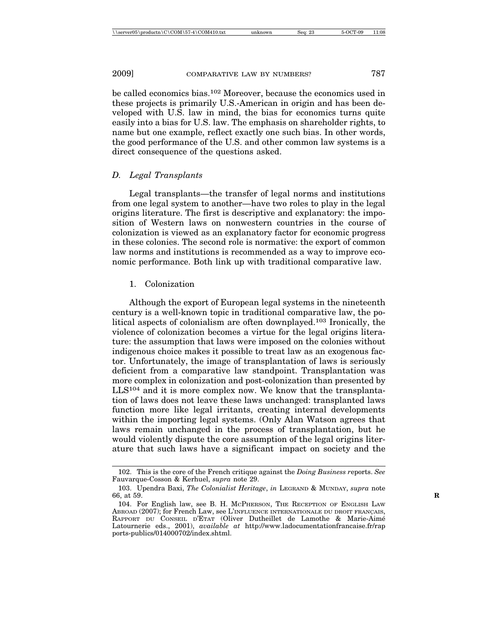be called economics bias.102 Moreover, because the economics used in these projects is primarily U.S.-American in origin and has been developed with U.S. law in mind, the bias for economics turns quite easily into a bias for U.S. law. The emphasis on shareholder rights, to name but one example, reflect exactly one such bias. In other words, the good performance of the U.S. and other common law systems is a direct consequence of the questions asked.

# *D. Legal Transplants*

Legal transplants—the transfer of legal norms and institutions from one legal system to another—have two roles to play in the legal origins literature. The first is descriptive and explanatory: the imposition of Western laws on nonwestern countries in the course of colonization is viewed as an explanatory factor for economic progress in these colonies. The second role is normative: the export of common law norms and institutions is recommended as a way to improve economic performance. Both link up with traditional comparative law.

## 1. Colonization

Although the export of European legal systems in the nineteenth century is a well-known topic in traditional comparative law, the political aspects of colonialism are often downplayed.103 Ironically, the violence of colonization becomes a virtue for the legal origins literature: the assumption that laws were imposed on the colonies without indigenous choice makes it possible to treat law as an exogenous factor. Unfortunately, the image of transplantation of laws is seriously deficient from a comparative law standpoint. Transplantation was more complex in colonization and post-colonization than presented by LLS104 and it is more complex now. We know that the transplantation of laws does not leave these laws unchanged: transplanted laws function more like legal irritants, creating internal developments within the importing legal systems. (Only Alan Watson agrees that laws remain unchanged in the process of transplantation, but he would violently dispute the core assumption of the legal origins literature that such laws have a significant impact on society and the

<sup>102.</sup> This is the core of the French critique against the *Doing Business r*eports. *See* Fauvarque-Cosson & Kerhuel, *supra* note 29.

<sup>103.</sup> Upendra Baxi, *The Colonialist Heritage*, *in* LEGRAND & MUNDAY, *supra* note 66, at 59. **R**

<sup>104.</sup> For English law, see B. H. MCPHERSON, THE RECEPTION OF ENGLISH LAW ABROAD (2007); for French Law, see L'INFLUENCE INTERNATIONALE DU DROIT FRANÇAIS, RAPPORT DU CONSEIL D'ETAT (Oliver Dutheillet de Lamothe & Marie-Aimé Latournerie eds., 2001), *available at* http://www.ladocumentationfrancaise.fr/rap ports-publics/014000702/index.shtml.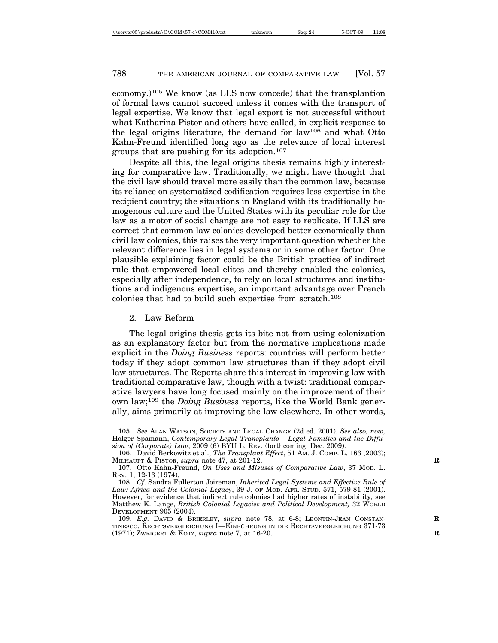economy.)105 We know (as LLS now concede) that the transplantion of formal laws cannot succeed unless it comes with the transport of legal expertise. We know that legal export is not successful without what Katharina Pistor and others have called, in explicit response to the legal origins literature, the demand for law106 and what Otto Kahn-Freund identified long ago as the relevance of local interest groups that are pushing for its adoption.107

Despite all this, the legal origins thesis remains highly interesting for comparative law. Traditionally, we might have thought that the civil law should travel more easily than the common law, because its reliance on systematized codification requires less expertise in the recipient country; the situations in England with its traditionally homogenous culture and the United States with its peculiar role for the law as a motor of social change are not easy to replicate. If LLS are correct that common law colonies developed better economically than civil law colonies, this raises the very important question whether the relevant difference lies in legal systems or in some other factor. One plausible explaining factor could be the British practice of indirect rule that empowered local elites and thereby enabled the colonies, especially after independence, to rely on local structures and institutions and indigenous expertise, an important advantage over French colonies that had to build such expertise from scratch.108

#### 2. Law Reform

The legal origins thesis gets its bite not from using colonization as an explanatory factor but from the normative implications made explicit in the *Doing Business* reports: countries will perform better today if they adopt common law structures than if they adopt civil law structures. The Reports share this interest in improving law with traditional comparative law, though with a twist: traditional comparative lawyers have long focused mainly on the improvement of their own law;109 the *Doing Business* reports, like the World Bank generally, aims primarily at improving the law elsewhere. In other words,

<sup>105.</sup> *See* ALAN WATSON, SOCIETY AND LEGAL CHANGE (2d ed. 2001). *See also, now,* Holger Spamann, *Contemporary Legal Transplants – Legal Families and the Diffusion of (Corporate) Law*, 2009 (6) BYU L. REV. (forthcoming, Dec. 2009).

<sup>106.</sup> David Berkowitz et al., *The Transplant Effect*, 51 AM. J. COMP. L. 163 (2003); MILHAUPT & PISTOR, *supra* note 47, at 201-12. **R**

<sup>107.</sup> Otto Kahn-Freund, *On Uses and Misuses of Comparative Law*, 37 MOD. L. REV. 1, 12-13 (1974).

<sup>108.</sup> *Cf*. Sandra Fullerton Joireman, *Inherited Legal Systems and Effective Rule of Law: Africa and the Colonial Legacy*, 39 J. OF MOD. AFR. STUD. 571, 579-81 (2001). However, for evidence that indirect rule colonies had higher rates of instability, see Matthew K. Lange, *British Colonial Legacies and Political Development,* 32 WORLD DEVELOPMENT 905 (2004).

<sup>109.</sup> E.g. DAVID & BRIERLEY, *supra* note 78, at 6-8; LEONTIN-JEAN CONSTAN-TINESCO, RECHTSVERGLEICHUNG I—EINFÜHRUNG IN DIE RECHTSVERGLEICHUNG 371-73 (1971); ZWEIGERT & KOTZ, *supra* note 7, at 16-20.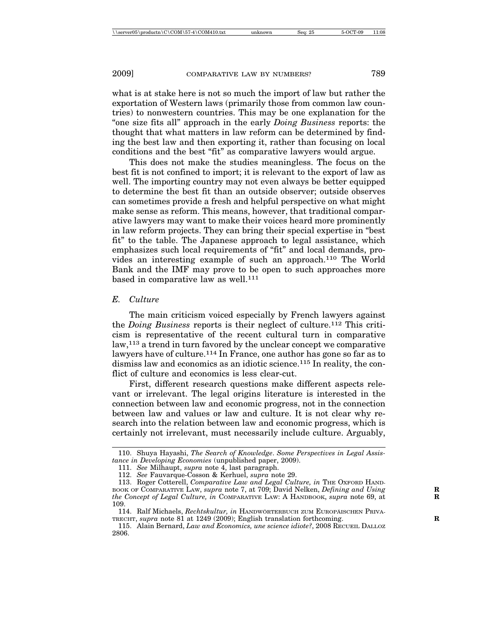what is at stake here is not so much the import of law but rather the exportation of Western laws (primarily those from common law countries) to nonwestern countries. This may be one explanation for the "one size fits all" approach in the early *Doing Business* reports: the thought that what matters in law reform can be determined by finding the best law and then exporting it, rather than focusing on local conditions and the best "fit" as comparative lawyers would argue.

This does not make the studies meaningless. The focus on the best fit is not confined to import; it is relevant to the export of law as well. The importing country may not even always be better equipped to determine the best fit than an outside observer; outside observes can sometimes provide a fresh and helpful perspective on what might make sense as reform. This means, however, that traditional comparative lawyers may want to make their voices heard more prominently in law reform projects. They can bring their special expertise in "best fit" to the table. The Japanese approach to legal assistance, which emphasizes such local requirements of "fit" and local demands, provides an interesting example of such an approach.110 The World Bank and the IMF may prove to be open to such approaches more based in comparative law as well.<sup>111</sup>

#### *E. Culture*

The main criticism voiced especially by French lawyers against the *Doing Business* reports is their neglect of culture.112 This criticism is representative of the recent cultural turn in comparative law,113 a trend in turn favored by the unclear concept we comparative lawyers have of culture.114 In France, one author has gone so far as to dismiss law and economics as an idiotic science.<sup>115</sup> In reality, the conflict of culture and economics is less clear-cut.

First, different research questions make different aspects relevant or irrelevant. The legal origins literature is interested in the connection between law and economic progress, not in the connection between law and values or law and culture. It is not clear why research into the relation between law and economic progress, which is certainly not irrelevant, must necessarily include culture. Arguably,

<sup>110.</sup> Shuya Hayashi, *The Search of Knowledge*. *Some Perspectives in Legal Assistance in Developing Economies* (unpublished paper, 2009).

<sup>111.</sup> *See* Milhaupt, *supra* note 4, last paragraph.

<sup>112.</sup> *See* Fauvarque-Cosson & Kerhuel, *supra* note 29.

<sup>113.</sup> Roger Cotterell, *Comparative Law and Legal Culture, in* THE OXFORD HAND-BOOK OF COMPARATIVE LAW, *supra* note 7, at 709; David Nelken, *Defining and Using the Concept of Legal Culture, in* COMPARATIVE LAW: A HANDBOOK, *supra* note 69, at **R** 109.

<sup>114.</sup> Ralf Michaels, *Rechtskultur, in* HANDWORTERBUCH ZUM EUROPÄISCHEN PRIVA-TRECHT, *supra* note 81 at 1249 (2009); English translation forthcoming. **R**

<sup>115.</sup> Alain Bernard, *Law and Economics, une science idiote?*, 2008 RECUEIL DALLOZ 2806.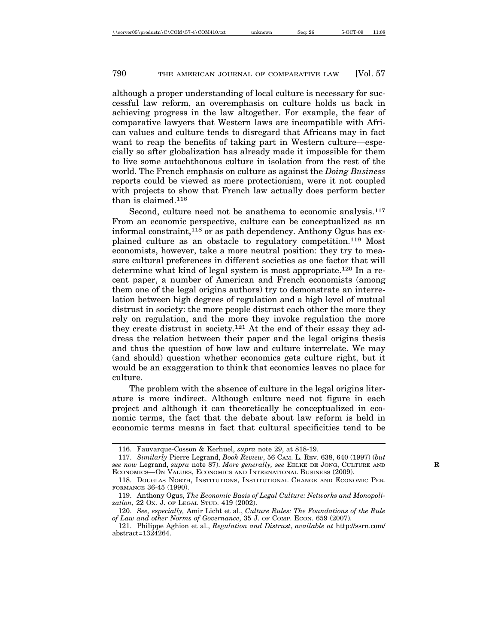although a proper understanding of local culture is necessary for successful law reform, an overemphasis on culture holds us back in achieving progress in the law altogether. For example, the fear of comparative lawyers that Western laws are incompatible with African values and culture tends to disregard that Africans may in fact want to reap the benefits of taking part in Western culture—especially so after globalization has already made it impossible for them to live some autochthonous culture in isolation from the rest of the world. The French emphasis on culture as against the *Doing Business* reports could be viewed as mere protectionism, were it not coupled with projects to show that French law actually does perform better than is claimed.116

Second, culture need not be anathema to economic analysis.<sup>117</sup> From an economic perspective, culture can be conceptualized as an informal constraint.<sup>118</sup> or as path dependency. Anthony Ogus has explained culture as an obstacle to regulatory competition.119 Most economists, however, take a more neutral position: they try to measure cultural preferences in different societies as one factor that will determine what kind of legal system is most appropriate.120 In a recent paper, a number of American and French economists (among them one of the legal origins authors) try to demonstrate an interrelation between high degrees of regulation and a high level of mutual distrust in society: the more people distrust each other the more they rely on regulation, and the more they invoke regulation the more they create distrust in society.121 At the end of their essay they address the relation between their paper and the legal origins thesis and thus the question of how law and culture interrelate. We may (and should) question whether economics gets culture right, but it would be an exaggeration to think that economics leaves no place for culture.

The problem with the absence of culture in the legal origins literature is more indirect. Although culture need not figure in each project and although it can theoretically be conceptualized in economic terms, the fact that the debate about law reform is held in economic terms means in fact that cultural specificities tend to be

<sup>116.</sup> Fauvarque-Cosson & Kerhuel, *supra* note 29, at 818-19.

<sup>117.</sup> *Similarly* Pierre Legrand, *Book Review*, 56 CAM. L. REV. 638, 640 (1997) (*but see now* Legrand, *supra* note 87). *More generally, see* EELKE DE JONG, CULTURE AND **R** ECONOMICS—ON VALUES, ECONOMICS AND INTERNATIONAL BUSINESS (2009).

<sup>118.</sup> DOUGLAS NORTH, INSTITUTIONS, INSTITUTIONAL CHANGE AND ECONOMIC PER-FORMANCE 36-45 (1990).

<sup>119.</sup> Anthony Ogus, *The Economic Basis of Legal Culture: Networks and Monopolization*, 22 OX. J. OF LEGAL STUD. 419 (2002).

<sup>120.</sup> *See, especially,* Amir Licht et al., *Culture Rules: The Foundations of the Rule of Law and other Norms of Governance*, 35 J. OF COMP. ECON. 659 (2007).

<sup>121.</sup> Philippe Aghion et al., *Regulation and Distrust*, *available at* http://ssrn.com/ abstract=1324264.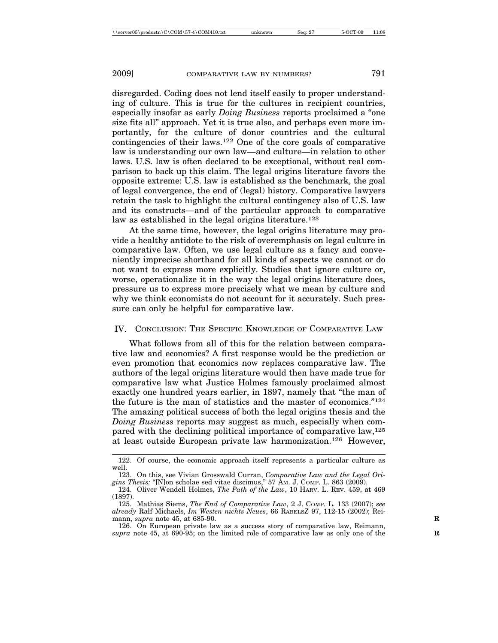disregarded. Coding does not lend itself easily to proper understanding of culture. This is true for the cultures in recipient countries, especially insofar as early *Doing Business* reports proclaimed a "one size fits all" approach. Yet it is true also, and perhaps even more importantly, for the culture of donor countries and the cultural contingencies of their laws.122 One of the core goals of comparative law is understanding our own law—and culture—in relation to other laws. U.S. law is often declared to be exceptional, without real comparison to back up this claim. The legal origins literature favors the opposite extreme: U.S. law is established as the benchmark, the goal of legal convergence, the end of (legal) history. Comparative lawyers retain the task to highlight the cultural contingency also of U.S. law and its constructs—and of the particular approach to comparative law as established in the legal origins literature.<sup>123</sup>

At the same time, however, the legal origins literature may provide a healthy antidote to the risk of overemphasis on legal culture in comparative law. Often, we use legal culture as a fancy and conveniently imprecise shorthand for all kinds of aspects we cannot or do not want to express more explicitly. Studies that ignore culture or, worse, operationalize it in the way the legal origins literature does, pressure us to express more precisely what we mean by culture and why we think economists do not account for it accurately. Such pressure can only be helpful for comparative law.

## IV. CONCLUSION: THE SPECIFIC KNOWLEDGE OF COMPARATIVE LAW

What follows from all of this for the relation between comparative law and economics? A first response would be the prediction or even promotion that economics now replaces comparative law. The authors of the legal origins literature would then have made true for comparative law what Justice Holmes famously proclaimed almost exactly one hundred years earlier, in 1897, namely that "the man of the future is the man of statistics and the master of economics."124 The amazing political success of both the legal origins thesis and the *Doing Business* reports may suggest as much, especially when compared with the declining political importance of comparative law,125 at least outside European private law harmonization.126 However,

126. On European private law as a success story of comparative law, Reimann, *supra* note 45, at 690-95; on the limited role of comparative law as only one of the **R**

<sup>122.</sup> Of course, the economic approach itself represents a particular culture as well.

<sup>123.</sup> On this, see Vivian Grosswald Curran, *Comparative Law and the Legal Origins Thesis:* "[N]on scholae sed vitae discimus," 57 AM. J. COMP. L. 863 (2009).

<sup>124.</sup> Oliver Wendell Holmes, *The Path of the Law*, 10 HARV. L. REV. 459, at 469 (1897).

<sup>125.</sup> Mathias Siems, *The End of Comparative Law*, 2 J. COMP. L. 133 (2007); *see already* Ralf Michaels, *Im Westen nichts Neues*, 66 RABELSZ 97, 112-15 (2002); Reimann, *supra* note 45, at 685-90. **R**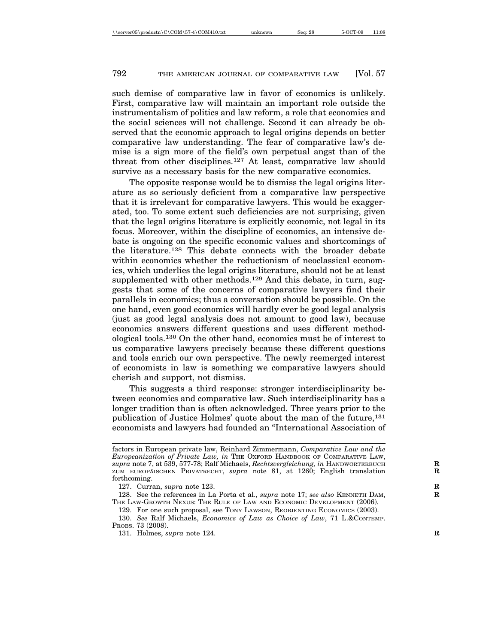such demise of comparative law in favor of economics is unlikely. First, comparative law will maintain an important role outside the instrumentalism of politics and law reform, a role that economics and the social sciences will not challenge. Second it can already be observed that the economic approach to legal origins depends on better comparative law understanding. The fear of comparative law's demise is a sign more of the field's own perpetual angst than of the threat from other disciplines.127 At least, comparative law should survive as a necessary basis for the new comparative economics.

The opposite response would be to dismiss the legal origins literature as so seriously deficient from a comparative law perspective that it is irrelevant for comparative lawyers. This would be exaggerated, too. To some extent such deficiencies are not surprising, given that the legal origins literature is explicitly economic, not legal in its focus. Moreover, within the discipline of economics, an intensive debate is ongoing on the specific economic values and shortcomings of the literature.128 This debate connects with the broader debate within economics whether the reductionism of neoclassical economics, which underlies the legal origins literature, should not be at least supplemented with other methods.<sup>129</sup> And this debate, in turn, suggests that some of the concerns of comparative lawyers find their parallels in economics; thus a conversation should be possible. On the one hand, even good economics will hardly ever be good legal analysis (just as good legal analysis does not amount to good law), because economics answers different questions and uses different methodological tools.130 On the other hand, economics must be of interest to us comparative lawyers precisely because these different questions and tools enrich our own perspective. The newly reemerged interest of economists in law is something we comparative lawyers should cherish and support, not dismiss.

This suggests a third response: stronger interdisciplinarity between economics and comparative law. Such interdisciplinarity has a longer tradition than is often acknowledged. Three years prior to the publication of Justice Holmes' quote about the man of the future.<sup>131</sup> economists and lawyers had founded an "International Association of

128. See the references in La Porta et al., *supra* note 17; see also KENNETH DAM, THE LAW-GROWTH NEXUS: THE RULE OF LAW AND ECONOMIC DEVELOPMENT (2006).

129. For one such proposal, see TONY LAWSON, REORIENTING ECONOMICS (2003).

- 130. *See* Ralf Michaels, *Economics of Law as Choice of Law*, 71 L.&CONTEMP. PROBS. 73 (2008).
	- 131. Holmes, *supra* note 124. **R**

factors in European private law, Reinhard Zimmermann, *Comparative Law and the Europeanization of Private Law, in* THE OXFORD HANDBOOK OF COMPARATIVE LAW, *supra* note 7, at 539, 577-78; Ralf Michaels, *Rechtsvergleichung, in* HANDWORTERBUCH ¨ **R** ZUM EUROPAISCHEN ¨ PRIVATRECHT, *supra* note 81, at 1260; English translation **R** forthcoming.

<sup>127.</sup> Curran, *supra* note 123. **R**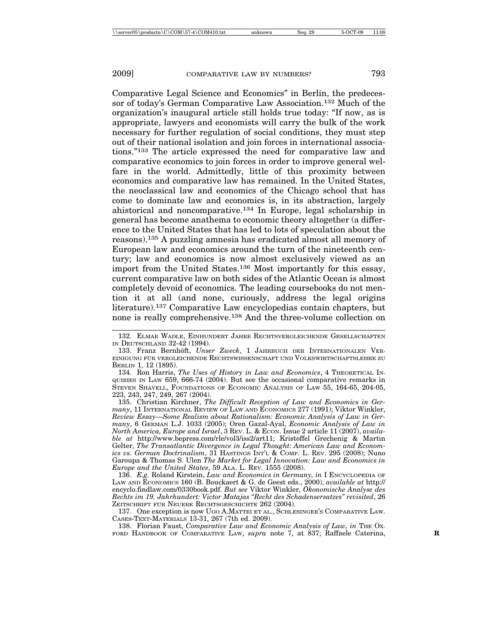Comparative Legal Science and Economics" in Berlin, the predecessor of today's German Comparative Law Association.132 Much of the organization's inaugural article still holds true today: "If now, as is appropriate, lawyers and economists will carry the bulk of the work necessary for further regulation of social conditions, they must step out of their national isolation and join forces in international associations."133 The article expressed the need for comparative law and comparative economics to join forces in order to improve general welfare in the world. Admittedly, little of this proximity between economics and comparative law has remained. In the United States, the neoclassical law and economics of the Chicago school that has come to dominate law and economics is, in its abstraction, largely ahistorical and noncomparative.134 In Europe, legal scholarship in general has become anathema to economic theory altogether (a difference to the United States that has led to lots of speculation about the reasons).135 A puzzling amnesia has eradicated almost all memory of European law and economics around the turn of the nineteenth century; law and economics is now almost exclusively viewed as an import from the United States.136 Most importantly for this essay, current comparative law on both sides of the Atlantic Ocean is almost completely devoid of economics. The leading coursebooks do not mention it at all (and none, curiously, address the legal origins literature).137 Comparative Law encyclopedias contain chapters, but none is really comprehensive.138 And the three-volume collection on

134. Ron Harris, *The Uses of History in Law and Economics*, 4 THEORETICAL IN-QUIRIES IN LAW 659, 666-74 (2004). But see the occasional comparative remarks in STEVEN SHAVELL, FOUNDATIONS OF ECONOMIC ANALYSIS OF LAW 55, 164-65, 204-05, 223, 243, 247, 249, 267 (2004).

135. Christian Kirchner, *The Difficult Reception of Law and Economics in Germany*, 11 INTERNATIONAL REVIEW OF LAW AND ECONOMICS 277 (1991); Viktor Winkler, *Review Essay—Some Realism about Rationalism: Economic Analysis of Law in Germany*, 6 GERMAN L.J. 1033 (2005); Oren Gazal-Ayal, *Economic Analysis of Law in North America, Europe and Israel*, 3 REV. L. & ECON. Issue 2 article 11 (2007), *available at* http://www.bepress.com/rle/vol3/iss2/art11; Kristoffel Grechenig & Martin Gelter, *The Transatlantic Divergence in Legal Thought: American Law and Economics vs. German Doctrinalism*, 31 HASTINGS INT'L & COMP. L. REV. 295 (2008); Nuno Garoupa & Thomas S. Ulen *The Market for Legal Innovation: Law and Economics in Europe and the United States*, 59 ALA. L. REV. 1555 (2008).

136. *E.g.* Roland Kirstein, *Law and Economics in Germany, in* I ENCYCLOPEDIA OF LAW AND ECONOMICS 160 (B. Bouckaert & G. de Geest eds., 2000), *available at* http:// encyclo.findlaw.com/0330book.pdf. *But see* Viktor Winkler, *Okonomische Analyse des Rechts im 19. Jahrhundert: Victor Matajas "Recht des Schadensersatzes" revisited*, 26 ZEITSCHRIFT FÜR NEUERE RECHTSGESCHICHTE 262 (2004).

137. One exception is now UGO A.MATTEI ET AL., SCHLESINGER'S COMPARATIVE LAW. CASES-TEXT-MATERIALS 13-31, 267 (7th ed. 2009).

138. Florian Faust, *Comparative Law and Economic Analysis of Law, in* THE OX-FORD HANDBOOK OF COMPARATIVE LAW, *supra* note 7, at 837; Raffaele Caterina,

<sup>132.</sup> ELMAR WADLE, EINHUNDERT JAHRE RECHTSVERGLEICHENDE GESELLSCHAFTEN IN DEUTSCHLAND 32-42 (1994).

<sup>133.</sup> Franz Bernhöft, Unser Zweck, 1 JAHRBUCH DER INTERNATIONALEN VER-EINIGUNG FÜR VERGLEICHENDE RECHTSWISSENSCHAFT UND VOLKSWIRTSCHAFTSLEHRE ZU BERLIN 1, 12 (1895).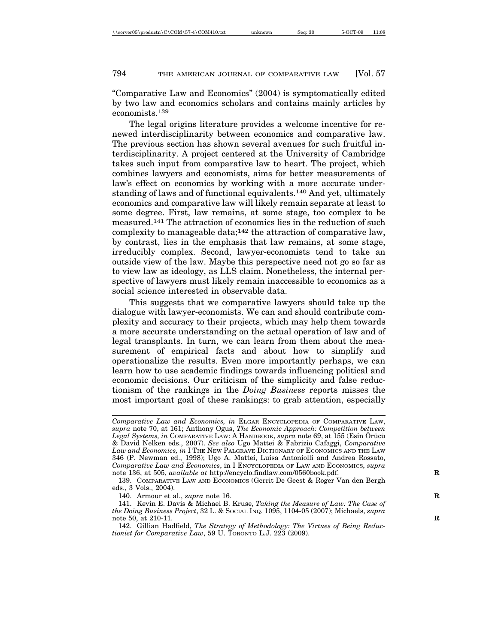"Comparative Law and Economics" (2004) is symptomatically edited by two law and economics scholars and contains mainly articles by economists<sup>139</sup>

The legal origins literature provides a welcome incentive for renewed interdisciplinarity between economics and comparative law. The previous section has shown several avenues for such fruitful interdisciplinarity. A project centered at the University of Cambridge takes such input from comparative law to heart. The project, which combines lawyers and economists, aims for better measurements of law's effect on economics by working with a more accurate understanding of laws and of functional equivalents.<sup>140</sup> And yet, ultimately economics and comparative law will likely remain separate at least to some degree. First, law remains, at some stage, too complex to be measured.141 The attraction of economics lies in the reduction of such complexity to manageable data;142 the attraction of comparative law, by contrast, lies in the emphasis that law remains, at some stage, irreducibly complex. Second, lawyer-economists tend to take an outside view of the law. Maybe this perspective need not go so far as to view law as ideology, as LLS claim. Nonetheless, the internal perspective of lawyers must likely remain inaccessible to economics as a social science interested in observable data.

This suggests that we comparative lawyers should take up the dialogue with lawyer-economists. We can and should contribute complexity and accuracy to their projects, which may help them towards a more accurate understanding on the actual operation of law and of legal transplants. In turn, we can learn from them about the measurement of empirical facts and about how to simplify and operationalize the results. Even more importantly perhaps, we can learn how to use academic findings towards influencing political and economic decisions. Our criticism of the simplicity and false reductionism of the rankings in the *Doing Business* reports misses the most important goal of these rankings: to grab attention, especially

140. Armour et al., *supra* note 16. **R**

141. Kevin E. Davis & Michael B. Kruse, *Taking the Measure of Law: The Case of the Doing Business Project*, 32 L. & SOCIAL INQ. 1095, 1104-05 (2007); Michaels, *supra* note 50, at 210-11. **R**

142. Gillian Hadfield, *The Strategy of Methodology: The Virtues of Being Reductionist for Comparative Law*, 59 U. TORONTO L.J. 223 (2009).

*Comparative Law and Economics, in* ELGAR ENCYCLOPEDIA OF COMPARATIVE LAW, *supra* note 70, at 161; Anthony Ogus, *The Economic Approach: Competition between* Legal Systems, in COMPARATIVE LAW: A HANDBOOK, *supra* note 69, at 155 (Esin Örücü & David Nelken eds., 2007). *See also* Ugo Mattei & Fabrizio Cafaggi, *Comparative Law and Economics, in* I THE NEW PALGRAVE DICTIONARY OF ECONOMICS AND THE LAW 346 (P. Newman ed., 1998); Ugo A. Mattei, Luisa Antoniolli and Andrea Rossato, *Comparative Law and Economics*, in I ENCYCLOPEDIA OF LAW AND ECONOMICS, *supra* note 136, at 505, *available at* http://encyclo.findlaw.com/0560book.pdf. **R**

<sup>139.</sup> COMPARATIVE LAW AND ECONOMICS (Gerrit De Geest & Roger Van den Bergh eds., 3 Vols., 2004).